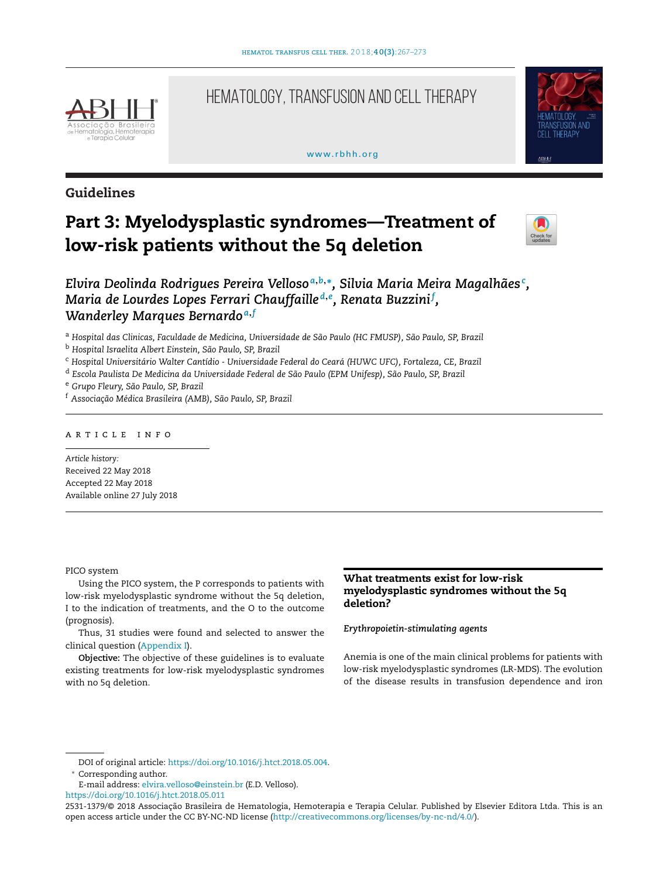

# HEMATOLOGY, TRANSFUSION AND CELL THERAPY

## [www.rbhh.org](http://www.rbhh.org)



# **Guidelines**

# **Part 3: Myelodysplastic syndromes—Treatment of low-risk patients without the 5q deletion**



*Elvira Deolinda Rodrigues Pereira Velloso <sup>a</sup>***,***b***,∗***, Silvia Maria Meira Magalhães<sup>c</sup> , Maria de Lourdes Lopes Ferrari Chauffaille <sup>d</sup>***,***<sup>e</sup> , Renata Buzzini<sup>f</sup> , Wanderley Marques Bernardo <sup>a</sup>***,***<sup>f</sup>*

<sup>a</sup> *Hospital das Clinicas, Faculdade de Medicina, Universidade de São Paulo (HC FMUSP), São Paulo, SP, Brazil*

<sup>b</sup> *Hospital Israelita Albert Einstein, São Paulo, SP, Brazil*

<sup>c</sup> *Hospital Universitário Walter Cantídio - Universidade Federal do Ceará (HUWC UFC), Fortaleza, CE, Brazil*

<sup>d</sup> *Escola Paulista De Medicina da Universidade Federal de São Paulo (EPM Unifesp), São Paulo, SP, Brazil*

<sup>e</sup> *Grupo Fleury, São Paulo, SP, Brazil*

<sup>f</sup> *Associac¸ão Médica Brasileira (AMB), São Paulo, SP, Brazil*

# ARTICLE INFO

*Article history:* Received 22 May 2018 Accepted 22 May 2018 Available online 27 July 2018

#### PICO system

Using the PICO system, the P corresponds to patients with low-risk myelodysplastic syndrome without the 5q deletion, I to the indication of treatments, and the O to the outcome (prognosis).

Thus, 31 studies were found and selected to answer the clinical question [\(Appendix](#page-4-0) [I\).](#page-4-0)

**Objective:** The objective of these guidelines is to evaluate existing treatments for low-risk myelodysplastic syndromes with no 5q deletion.

# **What treatments exist for low-risk myelodysplastic syndromes without the 5q deletion?**

# *Erythropoietin-stimulating agents*

Anemia is one of the main clinical problems for patients with low-risk myelodysplastic syndromes (LR-MDS). The evolution of the disease results in transfusion dependence and iron

DOI of original article: [https://doi.org/10.1016/j.htct.2018.05.004.](https://doi.org/10.1016/j.htct.2018.05.004)

∗ Corresponding author.

E-mail address: [elvira.velloso@einstein.br](mailto:elvira.velloso@einstein.br) (E.D. Velloso).

<https://doi.org/10.1016/j.htct.2018.05.011>

<sup>2531-1379/© 2018</sup> Associação Brasileira de Hematologia, Hemoterapia e Terapia Celular. Published by Elsevier Editora Ltda. This is an open access article under the CC BY-NC-ND license ([http://creativecommons.org/licenses/by-nc-nd/4.0/\)](http://creativecommons.org/licenses/by-nc-nd/4.0/).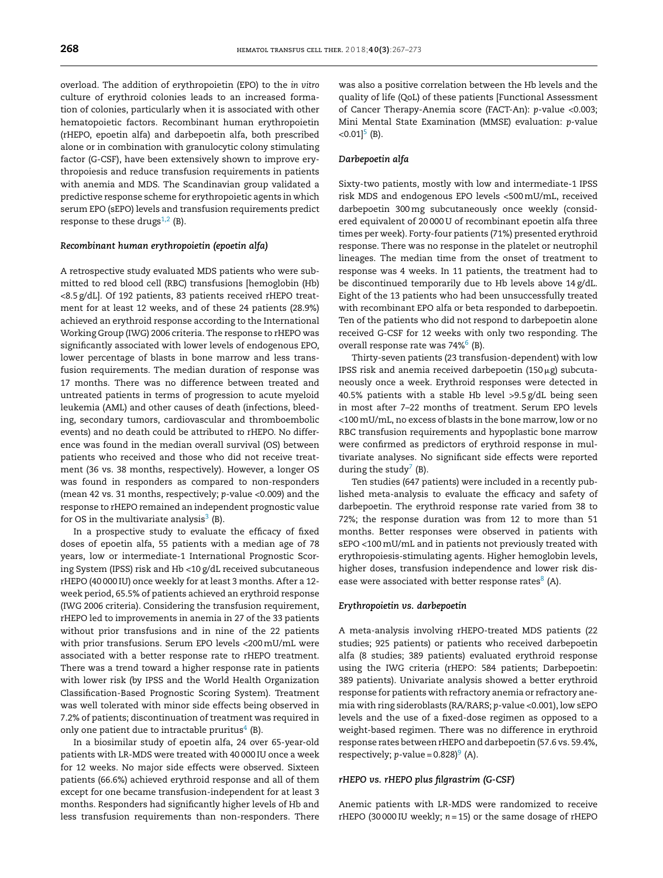overload. The addition of erythropoietin (EPO) to the *in vitro* culture of erythroid colonies leads to an increased formation of colonies, particularly when it is associated with other hematopoietic factors. Recombinant human erythropoietin (rHEPO, epoetin alfa) and darbepoetin alfa, both prescribed alone or in combination with granulocytic colony stimulating factor (G-CSF), have been extensively shown to improve erythropoiesis and reduce transfusion requirements in patients with anemia and MDS. The Scandinavian group validated a predictive response scheme for erythropoietic agents in which serum EPO (sEPO) levels and transfusion requirements predict response to these drugs $1,2$  (B).

## *Recombinant human erythropoietin (epoetin alfa)*

A retrospective study evaluated MDS patients who were submitted to red blood cell (RBC) transfusions [hemoglobin (Hb) <8.5 g/dL]. Of 192 patients, 83 patients received rHEPO treatment for at least 12 weeks, and of these 24 patients (28.9%) achieved an erythroid response according to the International Working Group (IWG) 2006 criteria. The response to rHEPO was significantly associated with lower levels of endogenous EPO, lower percentage of blasts in bone marrow and less transfusion requirements. The median duration of response was 17 months. There was no difference between treated and untreated patients in terms of progression to acute myeloid leukemia (AML) and other causes of death (infections, bleeding, secondary tumors, cardiovascular and thromboembolic events) and no death could be attributed to rHEPO. No difference was found in the median overall survival (OS) between patients who received and those who did not receive treatment (36 vs. 38 months, respectively). However, a longer OS was found in responders as compared to non-responders (mean 42 vs. 31 months, respectively; *p*-value <0.009) and the response to rHEPO remained an independent prognostic value for OS in the multivariate analysis $3$  (B).

In a prospective study to evaluate the efficacy of fixed doses of epoetin alfa, 55 patients with a median age of 78 years, low or intermediate-1 International Prognostic Scoring System (IPSS) risk and Hb <10 g/dL received subcutaneous rHEPO (40 000 IU) once weekly for at least 3 months. After a 12 week period, 65.5% of patients achieved an erythroid response (IWG 2006 criteria). Considering the transfusion requirement, rHEPO led to improvements in anemia in 27 of the 33 patients without prior transfusions and in nine of the 22 patients with prior transfusions. Serum EPO levels <200mU/mL were associated with a better response rate to rHEPO treatment. There was a trend toward a higher response rate in patients with lower risk (by IPSS and the World Health Organization Classification-Based Prognostic Scoring System). Treatment was well tolerated with minor side effects being observed in 7.2% of patients; discontinuation of treatment was required in only one patient due to intractable pruritus $4$  (B).

In a biosimilar study of epoetin alfa, 24 over 65-year-old patients with LR-MDS were treated with 40 000 IU once a week for 12 weeks. No major side effects were observed. Sixteen patients (66.6%) achieved erythroid response and all of them except for one became transfusion-independent for at least 3 months. Responders had significantly higher levels of Hb and less transfusion requirements than non-responders. There

was also a positive correlation between the Hb levels and the quality of life (QoL) of these patients [Functional Assessment of Cancer Therapy-Anemia score (FACT-An): *p*-value <0.003; Mini Mental State Examination (MMSE) evaluation: *p*-value  $<$ 0.01]<sup>5</sup> (B).

#### *Darbepoetin alfa*

Sixty-two patients, mostly with low and intermediate-1 IPSS risk MDS and endogenous EPO levels <500mU/mL, received darbepoetin 300mg subcutaneously once weekly (considered equivalent of 20 000 U of recombinant epoetin alfa three times per week). Forty-four patients (71%) presented erythroid response. There was no response in the platelet or neutrophil lineages. The median time from the onset of treatment to response was 4 weeks. In 11 patients, the treatment had to be discontinued temporarily due to Hb levels above 14 g/dL. Eight of the 13 patients who had been unsuccessfully treated with recombinant EPO alfa or beta responded to darbepoetin. Ten of the patients who did not respond to darbepoetin alone received G-CSF for 12 weeks with only two responding. The overall response rate was  $74\%$ <sup>6</sup> (B).

Thirty-seven patients (23 transfusion-dependent) with low IPSS risk and anemia received darbepoetin (150 $\mu$ g) subcutaneously once a week. Erythroid responses were detected in 40.5% patients with a stable Hb level >9.5 g/dL being seen in most after 7–22 months of treatment. Serum EPO levels <100mU/mL, no excess of blasts in the bone marrow, low or no RBC transfusion requirements and hypoplastic bone marrow were confirmed as predictors of erythroid response in multivariate analyses. No significant side effects were reported during the study $\prime$  (B).

Ten studies (647 patients) were included in a recently published meta-analysis to evaluate the efficacy and safety of darbepoetin. The erythroid response rate varied from 38 to 72%; the response duration was from 12 to more than 51 months. Better responses were observed in patients with sEPO <100mU/mL and in patients not previously treated with erythropoiesis-stimulating agents. Higher hemoglobin levels, higher doses, transfusion independence and lower risk disease were associated with better response rates $8$  (A).

#### *Erythropoietin vs. darbepoetin*

A meta-analysis involving rHEPO-treated MDS patients (22 studies; 925 patients) or patients who received darbepoetin alfa (8 studies; 389 patients) evaluated erythroid response using the IWG criteria (rHEPO: 584 patients; Darbepoetin: 389 patients). Univariate analysis showed a better erythroid response for patients with refractory anemia or refractory anemia with ring sideroblasts (RA/RARS; *p*-value <0.001), low sEPO levels and the use of a fixed-dose regimen as opposed to a weight-based regimen. There was no difference in erythroid response rates between rHEPO and darbepoetin (57.6 vs. 59.4%, respectively;  $p$ -value =  $0.828$ <sup>9</sup> (A).

## *rHEPO vs. rHEPO plus filgrastrim (G-CSF)*

Anemic patients with LR-MDS were randomized to receive rHEPO (30 000 IU weekly; *n* = 15) or the same dosage of rHEPO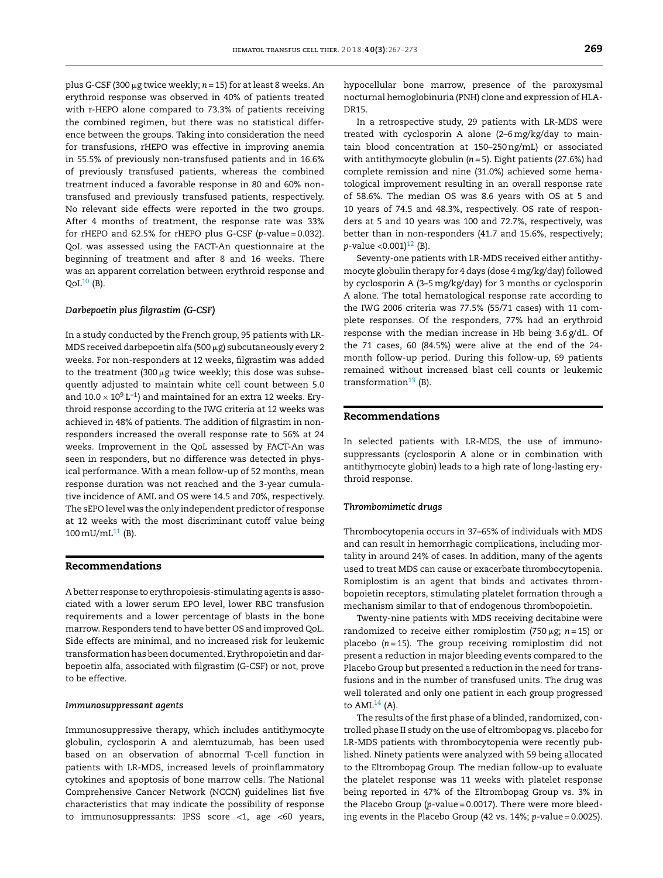plus G-CSF (300 µg twice weekly; *n* = 15) for at least 8 weeks. An erythroid response was observed in 40% of patients treated with r-HEPO alone compared to 73.3% of patients receiving the combined regimen, but there was no statistical difference between the groups. Taking into consideration the need for transfusions, rHEPO was effective in improving anemia in 55.5% of previously non-transfused patients and in 16.6% of previously transfused patients, whereas the combined treatment induced a favorable response in 80 and 60% nontransfused and previously transfused patients, respectively. No relevant side effects were reported in the two groups. After 4 months of treatment, the response rate was 33% for rHEPO and 62.5% for rHEPO plus G-CSF (*p*-value = 0.032). QoL was assessed using the FACT-An questionnaire at the beginning of treatment and after 8 and 16 weeks. There was an apparent correlation between erythroid response and  $QoL^{10}$  (B).

## *Darbepoetin plus filgrastim (G-CSF)*

In a study conducted by the French group, 95 patients with LR-MDS received darbepoetin alfa (500  $\mu$ g) subcutaneously every 2 weeks. For non-responders at 12 weeks, filgrastim was added to the treatment (300  $\mu$ g twice weekly; this dose was subsequently adjusted to maintain white cell count between 5.0 and  $10.0 \times 10^9$  L<sup>-1</sup>) and maintained for an extra 12 weeks. Erythroid response according to the IWG criteria at 12 weeks was achieved in 48% of patients. The addition of filgrastim in nonresponders increased the overall response rate to 56% at 24 weeks. Improvement in the QoL assessed by FACT-An was seen in responders, but no difference was detected in physical performance. With a mean follow-up of 52 months, mean response duration was not reached and the 3-year cumulative incidence of AML and OS were 14.5 and 70%, respectively. The sEPO level was the only independent predictor of response at 12 weeks with the most discriminant cutoff value being  $100 \text{ mU/mL}^{11}$  $100 \text{ mU/mL}^{11}$  $100 \text{ mU/mL}^{11}$  (B).

# **Recommendations**

A better response to erythropoiesis-stimulating agents is associated with a lower serum EPO level, lower RBC transfusion requirements and a lower percentage of blasts in the bone marrow. Responders tend to have better OS and improved QoL. Side effects are minimal, and no increased risk for leukemic transformation has been documented. Erythropoietin and darbepoetin alfa, associated with filgrastim (G-CSF) or not, prove to be effective.

### *Immunosuppressant agents*

Immunosuppressive therapy, which includes antithymocyte globulin, cyclosporin A and alemtuzumab, has been used based on an observation of abnormal T-cell function in patients with LR-MDS, increased levels of proinflammatory cytokines and apoptosis of bone marrow cells. The National Comprehensive Cancer Network (NCCN) guidelines list five characteristics that may indicate the possibility of response to immunosuppressants: IPSS score <1, age <60 years, hypocellular bone marrow, presence of the paroxysmal nocturnal hemoglobinuria (PNH) clone and expression of HLA-DR15.

In a retrospective study, 29 patients with LR-MDS were treated with cyclosporin A alone (2–6mg/kg/day to maintain blood concentration at 150–250ng/mL) or associated with antithymocyte globulin (*n* = 5). Eight patients (27.6%) had complete remission and nine (31.0%) achieved some hematological improvement resulting in an overall response rate of 58.6%. The median OS was 8.6 years with OS at 5 and 10 years of 74.5 and 48.3%, respectively. OS rate of responders at 5 and 10 years was 100 and 72.7%, respectively, was better than in non-responders (41.7 and 15.6%, respectively;  $p$ -value <0.001)<sup>12</sup> (B).

Seventy-one patients with LR-MDS received either antithymocyte globulin therapy for 4 days (dose 4 mg/kg/day) followed by cyclosporin A (3–5mg/kg/day) for 3 months or cyclosporin A alone. The total hematological response rate according to the IWG 2006 criteria was 77.5% (55/71 cases) with 11 complete responses. Of the responders, 77% had an erythroid response with the median increase in Hb being 3.6 g/dL. Of the 71 cases, 60 (84.5%) were alive at the end of the 24 month follow-up period. During this follow-up, 69 patients remained without increased blast cell counts or leukemic transformation<sup>[13](#page-5-0)</sup> (B).

# **Recommendations**

In selected patients with LR-MDS, the use of immunosuppressants (cyclosporin A alone or in combination with antithymocyte globin) leads to a high rate of long-lasting erythroid response.

#### *Thrombomimetic drugs*

Thrombocytopenia occurs in 37–65% of individuals with MDS and can result in hemorrhagic complications, including mortality in around 24% of cases. In addition, many of the agents used to treat MDS can cause or exacerbate thrombocytopenia. Romiplostim is an agent that binds and activates thrombopoietin receptors, stimulating platelet formation through a mechanism similar to that of endogenous thrombopoietin.

Twenty-nine patients with MDS receiving decitabine were randomized to receive either romiplostim (750-g; *n* = 15) or placebo (*n* = 15). The group receiving romiplostim did not present a reduction in major bleeding events compared to the Placebo Group but presented a reduction in the need for transfusions and in the number of transfused units. The drug was well tolerated and only one patient in each group progressed to  $AML<sup>14</sup>$  $AML<sup>14</sup>$  $AML<sup>14</sup>$  (A).

The results of the first phase of a blinded, randomized, controlled phase II study on the use of eltrombopag vs. placebo for LR-MDS patients with thrombocytopenia were recently published. Ninety patients were analyzed with 59 being allocated to the Eltrombopag Group. The median follow-up to evaluate the platelet response was 11 weeks with platelet response being reported in 47% of the Eltrombopag Group vs. 3% in the Placebo Group (*p*-value = 0.0017). There were more bleeding events in the Placebo Group (42 vs. 14%; *p*-value = 0.0025).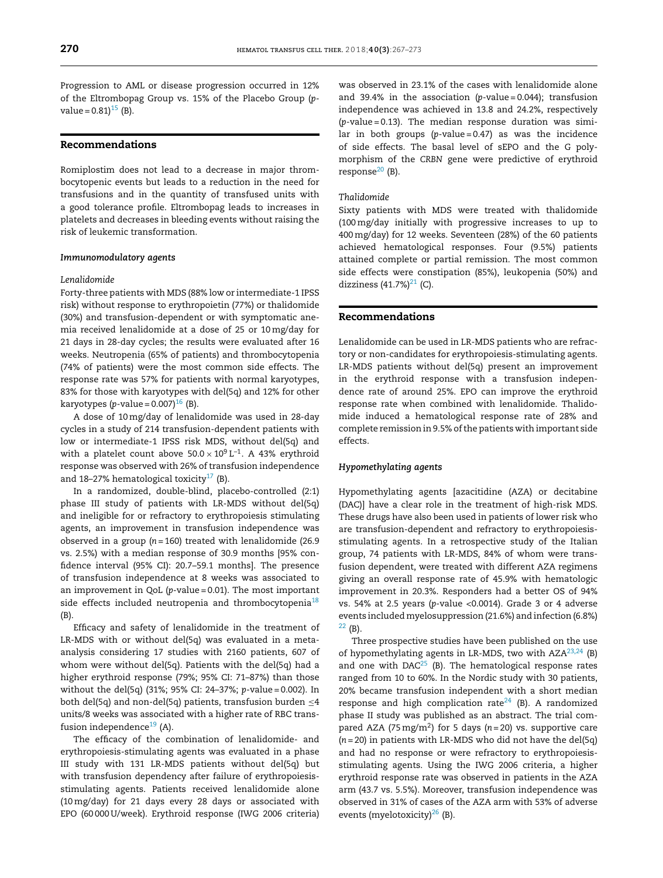Progression to AML or disease progression occurred in 12% of the Eltrombopag Group vs. 15% of the Placebo Group (*p*value =  $0.81$ <sup>[15](#page-5-0)</sup> (B).

# **Recommendations**

Romiplostim does not lead to a decrease in major thrombocytopenic events but leads to a reduction in the need for transfusions and in the quantity of transfused units with a good tolerance profile. Eltrombopag leads to increases in platelets and decreases in bleeding events without raising the risk of leukemic transformation.

# *Immunomodulatory agents*

#### *Lenalidomide*

Forty-three patients with MDS (88% low or intermediate-1 IPSS risk) without response to erythropoietin (77%) or thalidomide (30%) and transfusion-dependent or with symptomatic anemia received lenalidomide at a dose of 25 or 10mg/day for 21 days in 28-day cycles; the results were evaluated after 16 weeks. Neutropenia (65% of patients) and thrombocytopenia (74% of patients) were the most common side effects. The response rate was 57% for patients with normal karyotypes, 83% for those with karyotypes with del(5q) and 12% for other karyotypes (*p*-value =  $0.007$ )<sup>[16](#page-5-0)</sup> (B).

A dose of 10mg/day of lenalidomide was used in 28-day cycles in a study of 214 transfusion-dependent patients with low or intermediate-1 IPSS risk MDS, without del(5q) and with a platelet count above  $50.0 \times 10^9$  L<sup>-1</sup>. A 43% erythroid response was observed with 26% of transfusion independence and 18-27% hematological toxicity $17$  (B).

In a randomized, double-blind, placebo-controlled (2:1) phase III study of patients with LR-MDS without del(5q) and ineligible for or refractory to erythropoiesis stimulating agents, an improvement in transfusion independence was observed in a group (*n* = 160) treated with lenalidomide (26.9 vs. 2.5%) with a median response of 30.9 months [95% confidence interval (95% CI): 20.7–59.1 months]. The presence of transfusion independence at 8 weeks was associated to an improvement in QoL (*p*-value = 0.01). The most important side effects included neutropenia and thrombocytopenia<sup>18</sup> (B).

Efficacy and safety of lenalidomide in the treatment of LR-MDS with or without del(5q) was evaluated in a metaanalysis considering 17 studies with 2160 patients, 607 of whom were without del(5q). Patients with the del(5q) had a higher erythroid response (79%; 95% CI: 71–87%) than those without the del(5q) (31%; 95% CI: 24–37%; *p*-value = 0.002). In both del(5q) and non-del(5q) patients, transfusion burden  $\leq$ 4 units/8 weeks was associated with a higher rate of RBC transfusion independence $19$  (A).

The efficacy of the combination of lenalidomide- and erythropoiesis-stimulating agents was evaluated in a phase III study with 131 LR-MDS patients without del(5q) but with transfusion dependency after failure of erythropoiesisstimulating agents. Patients received lenalidomide alone (10mg/day) for 21 days every 28 days or associated with EPO (60 000 U/week). Erythroid response (IWG 2006 criteria)

was observed in 23.1% of the cases with lenalidomide alone and 39.4% in the association (*p*-value = 0.044); transfusion independence was achieved in 13.8 and 24.2%, respectively (*p*-value = 0.13). The median response duration was similar in both groups (p-value = 0.47) as was the incidence of side effects. The basal level of sEPO and the G polymorphism of the *CRBN* gene were predictive of erythroid response $^{20}$  $^{20}$  $^{20}$  (B).

#### *Thalidomide*

Sixty patients with MDS were treated with thalidomide (100mg/day initially with progressive increases to up to 400mg/day) for 12 weeks. Seventeen (28%) of the 60 patients achieved hematological responses. Four (9.5%) patients attained complete or partial remission. The most common side effects were constipation (85%), leukopenia (50%) and dizziness  $(41.7%)^{21}$  (C).

# **Recommendations**

Lenalidomide can be used in LR-MDS patients who are refractory or non-candidates for erythropoiesis-stimulating agents. LR-MDS patients without del(5q) present an improvement in the erythroid response with a transfusion independence rate of around 25%. EPO can improve the erythroid response rate when combined with lenalidomide. Thalidomide induced a hematological response rate of 28% and complete remission in 9.5% of the patients with important side effects.

#### *Hypomethylating agents*

Hypomethylating agents [azacitidine (AZA) or decitabine (DAC)] have a clear role in the treatment of high-risk MDS. These drugs have also been used in patients of lower risk who are transfusion-dependent and refractory to erythropoiesisstimulating agents. In a retrospective study of the Italian group, 74 patients with LR-MDS, 84% of whom were transfusion dependent, were treated with different AZA regimens giving an overall response rate of 45.9% with hematologic improvement in 20.3%. Responders had a better OS of 94% vs. 54% at 2.5 years (*p*-value <0.0014). Grade 3 or 4 adverse events included myelosuppression (21.6%) and infection (6.8%)  $22$  (B).

Three prospective studies have been published on the use of hypomethylating agents in LR-MDS, two with  $AZA^{23,24}$  (B) and one with  $DAC^{25}$  $DAC^{25}$  $DAC^{25}$  (B). The hematological response rates ranged from 10 to 60%. In the Nordic study with 30 patients, 20% became transfusion independent with a short median response and high complication rate<sup>24</sup> (B). A randomized phase II study was published as an abstract. The trial compared AZA (75mg/m2) for 5 days (*n* = 20) vs. supportive care (*n* = 20) in patients with LR-MDS who did not have the del(5q) and had no response or were refractory to erythropoiesisstimulating agents. Using the IWG 2006 criteria, a higher erythroid response rate was observed in patients in the AZA arm (43.7 vs. 5.5%). Moreover, transfusion independence was observed in 31% of cases of the AZA arm with 53% of adverse events (myelotoxicity) $^{26}$  (B).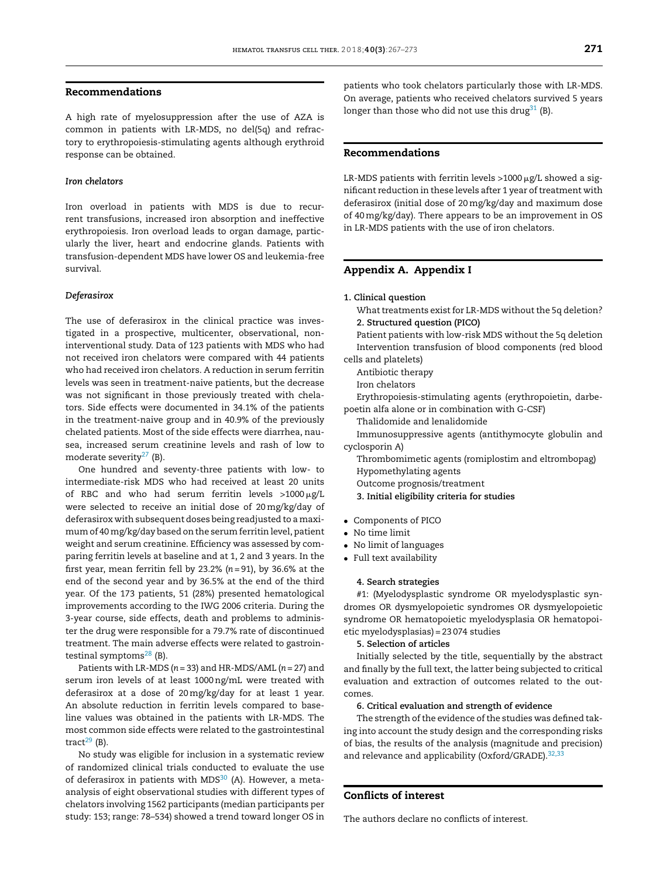# <span id="page-4-0"></span>**Recommendations**

A high rate of myelosuppression after the use of AZA is common in patients with LR-MDS, no del(5q) and refractory to erythropoiesis-stimulating agents although erythroid response can be obtained.

# *Iron chelators*

Iron overload in patients with MDS is due to recurrent transfusions, increased iron absorption and ineffective erythropoiesis. Iron overload leads to organ damage, particularly the liver, heart and endocrine glands. Patients with transfusion-dependent MDS have lower OS and leukemia-free survival.

#### *Deferasirox*

The use of deferasirox in the clinical practice was investigated in a prospective, multicenter, observational, noninterventional study. Data of 123 patients with MDS who had not received iron chelators were compared with 44 patients who had received iron chelators. A reduction in serum ferritin levels was seen in treatment-naive patients, but the decrease was not significant in those previously treated with chelators. Side effects were documented in 34.1% of the patients in the treatment-naive group and in 40.9% of the previously chelated patients. Most of the side effects were diarrhea, nausea, increased serum creatinine levels and rash of low to moderate severity $27$  (B).

One hundred and seventy-three patients with low- to intermediate-risk MDS who had received at least 20 units of RBC and who had serum ferritin levels >1000-g/L were selected to receive an initial dose of 20mg/kg/day of deferasirox with subsequent doses being readjusted to a maximum of 40mg/kg/day based on the serum ferritin level, patient weight and serum creatinine. Efficiency was assessed by comparing ferritin levels at baseline and at 1, 2 and 3 years. In the first year, mean ferritin fell by 23.2% (*n* = 91), by 36.6% at the end of the second year and by 36.5% at the end of the third year. Of the 173 patients, 51 (28%) presented hematological improvements according to the IWG 2006 criteria. During the 3-year course, side effects, death and problems to administer the drug were responsible for a 79.7% rate of discontinued treatment. The main adverse effects were related to gastrointestinal symptoms $^{28}$  (B).

Patients with LR-MDS (*n* = 33) and HR-MDS/AML (*n* = 27) and serum iron levels of at least 1000ng/mL were treated with deferasirox at a dose of 20mg/kg/day for at least 1 year. An absolute reduction in ferritin levels compared to baseline values was obtained in the patients with LR-MDS. The most common side effects were related to the gastrointestinal tract $29$  (B).

No study was eligible for inclusion in a systematic review of randomized clinical trials conducted to evaluate the use of deferasirox in patients with  $MDS^{30}$  $MDS^{30}$  $MDS^{30}$  (A). However, a metaanalysis of eight observational studies with different types of chelators involving 1562 participants (median participants per study: 153; range: 78–534) showed a trend toward longer OS in patients who took chelators particularly those with LR-MDS. On average, patients who received chelators survived 5 years longer than those who did not use this drug $31$  (B).

## **Recommendations**

LR-MDS patients with ferritin levels >1000  $\mu$ g/L showed a significant reduction in these levels after 1 year of treatment with deferasirox (initial dose of 20mg/kg/day and maximum dose of 40mg/kg/day). There appears to be an improvement in OS in LR-MDS patients with the use of iron chelators.

# **Appendix A. Appendix I**

## **1. Clinical question**

What treatments exist for LR-MDS without the 5q deletion? **2. Structured question (PICO)**

Patient patients with low-risk MDS without the 5q deletion Intervention transfusion of blood components (red blood cells and platelets)

Antibiotic therapy

Iron chelators

Erythropoiesis-stimulating agents (erythropoietin, darbepoetin alfa alone or in combination with G-CSF)

Thalidomide and lenalidomide

Immunosuppressive agents (antithymocyte globulin and cyclosporin A)

Thrombomimetic agents (romiplostim and eltrombopag) Hypomethylating agents

Outcome prognosis/treatment

- **3. Initial eligibility criteria for studies**
- Components of PICO
- No time limit
- No limit of languages
- Full text availability

# **4. Search strategies**

#1: (Myelodysplastic syndrome OR myelodysplastic syndromes OR dysmyelopoietic syndromes OR dysmyelopoietic syndrome OR hematopoietic myelodysplasia OR hematopoietic myelodysplasias) = 23 074 studies

### **5. Selection of articles**

Initially selected by the title, sequentially by the abstract and finally by the full text, the latter being subjected to critical evaluation and extraction of outcomes related to the outcomes.

# **6. Critical evaluation and strength of evidence**

The strength of the evidence of the studies was defined taking into account the study design and the corresponding risks of bias, the results of the analysis (magnitude and precision) and relevance and applicability (Oxford/GRADE).<sup>[32,33](#page-6-0)</sup>

# **Conflicts of interest**

The authors declare no conflicts of interest.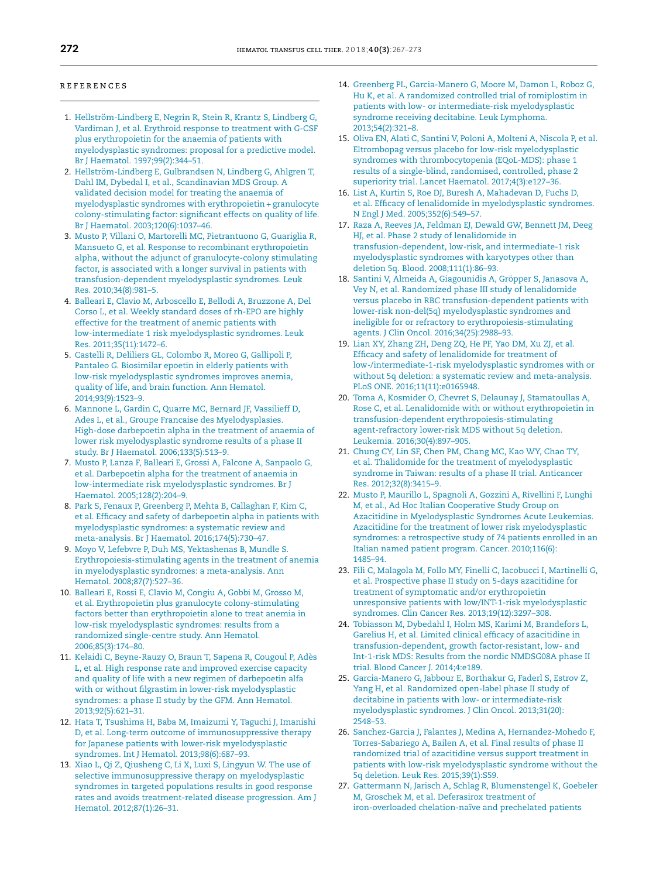#### <span id="page-5-0"></span>**REFERENCES**

- 1. [Hellström-Lindberg](http://refhub.elsevier.com/S2531-1379(18)30107-X/sbref0170) [E,](http://refhub.elsevier.com/S2531-1379(18)30107-X/sbref0170) [Negrin](http://refhub.elsevier.com/S2531-1379(18)30107-X/sbref0170) [R,](http://refhub.elsevier.com/S2531-1379(18)30107-X/sbref0170) [Stein](http://refhub.elsevier.com/S2531-1379(18)30107-X/sbref0170) [R,](http://refhub.elsevier.com/S2531-1379(18)30107-X/sbref0170) [Krantz](http://refhub.elsevier.com/S2531-1379(18)30107-X/sbref0170) [S,](http://refhub.elsevier.com/S2531-1379(18)30107-X/sbref0170) [Lindberg](http://refhub.elsevier.com/S2531-1379(18)30107-X/sbref0170) [G,](http://refhub.elsevier.com/S2531-1379(18)30107-X/sbref0170) [Vardiman](http://refhub.elsevier.com/S2531-1379(18)30107-X/sbref0170) [J,](http://refhub.elsevier.com/S2531-1379(18)30107-X/sbref0170) [et](http://refhub.elsevier.com/S2531-1379(18)30107-X/sbref0170) [al.](http://refhub.elsevier.com/S2531-1379(18)30107-X/sbref0170) [Erythroid](http://refhub.elsevier.com/S2531-1379(18)30107-X/sbref0170) [response](http://refhub.elsevier.com/S2531-1379(18)30107-X/sbref0170) [to](http://refhub.elsevier.com/S2531-1379(18)30107-X/sbref0170) [treatment](http://refhub.elsevier.com/S2531-1379(18)30107-X/sbref0170) [with](http://refhub.elsevier.com/S2531-1379(18)30107-X/sbref0170) [G-CSF](http://refhub.elsevier.com/S2531-1379(18)30107-X/sbref0170) [plus](http://refhub.elsevier.com/S2531-1379(18)30107-X/sbref0170) [erythropoietin](http://refhub.elsevier.com/S2531-1379(18)30107-X/sbref0170) [for](http://refhub.elsevier.com/S2531-1379(18)30107-X/sbref0170) [the](http://refhub.elsevier.com/S2531-1379(18)30107-X/sbref0170) [anaemia](http://refhub.elsevier.com/S2531-1379(18)30107-X/sbref0170) [of](http://refhub.elsevier.com/S2531-1379(18)30107-X/sbref0170) [patients](http://refhub.elsevier.com/S2531-1379(18)30107-X/sbref0170) [with](http://refhub.elsevier.com/S2531-1379(18)30107-X/sbref0170) [myelodysplastic](http://refhub.elsevier.com/S2531-1379(18)30107-X/sbref0170) [syndromes:](http://refhub.elsevier.com/S2531-1379(18)30107-X/sbref0170) [proposal](http://refhub.elsevier.com/S2531-1379(18)30107-X/sbref0170) [for](http://refhub.elsevier.com/S2531-1379(18)30107-X/sbref0170) [a](http://refhub.elsevier.com/S2531-1379(18)30107-X/sbref0170) [predictive](http://refhub.elsevier.com/S2531-1379(18)30107-X/sbref0170) [model.](http://refhub.elsevier.com/S2531-1379(18)30107-X/sbref0170) [Br](http://refhub.elsevier.com/S2531-1379(18)30107-X/sbref0170) [J](http://refhub.elsevier.com/S2531-1379(18)30107-X/sbref0170) [Haematol.](http://refhub.elsevier.com/S2531-1379(18)30107-X/sbref0170) [1997;99\(2\):344](http://refhub.elsevier.com/S2531-1379(18)30107-X/sbref0170)–[51.](http://refhub.elsevier.com/S2531-1379(18)30107-X/sbref0170)
- 2. [Hellström-Lindberg](http://refhub.elsevier.com/S2531-1379(18)30107-X/sbref0175) [E,](http://refhub.elsevier.com/S2531-1379(18)30107-X/sbref0175) [Gulbrandsen](http://refhub.elsevier.com/S2531-1379(18)30107-X/sbref0175) [N,](http://refhub.elsevier.com/S2531-1379(18)30107-X/sbref0175) [Lindberg](http://refhub.elsevier.com/S2531-1379(18)30107-X/sbref0175) [G,](http://refhub.elsevier.com/S2531-1379(18)30107-X/sbref0175) [Ahlgren](http://refhub.elsevier.com/S2531-1379(18)30107-X/sbref0175) [T,](http://refhub.elsevier.com/S2531-1379(18)30107-X/sbref0175) [Dahl](http://refhub.elsevier.com/S2531-1379(18)30107-X/sbref0175) [IM,](http://refhub.elsevier.com/S2531-1379(18)30107-X/sbref0175) [Dybedal](http://refhub.elsevier.com/S2531-1379(18)30107-X/sbref0175) [I,](http://refhub.elsevier.com/S2531-1379(18)30107-X/sbref0175) [et](http://refhub.elsevier.com/S2531-1379(18)30107-X/sbref0175) [al.,](http://refhub.elsevier.com/S2531-1379(18)30107-X/sbref0175) [Scandinavian](http://refhub.elsevier.com/S2531-1379(18)30107-X/sbref0175) [MDS](http://refhub.elsevier.com/S2531-1379(18)30107-X/sbref0175) [Group.](http://refhub.elsevier.com/S2531-1379(18)30107-X/sbref0175) [A](http://refhub.elsevier.com/S2531-1379(18)30107-X/sbref0175) [validated](http://refhub.elsevier.com/S2531-1379(18)30107-X/sbref0175) [decision](http://refhub.elsevier.com/S2531-1379(18)30107-X/sbref0175) [model](http://refhub.elsevier.com/S2531-1379(18)30107-X/sbref0175) [for](http://refhub.elsevier.com/S2531-1379(18)30107-X/sbref0175) [treating](http://refhub.elsevier.com/S2531-1379(18)30107-X/sbref0175) [the](http://refhub.elsevier.com/S2531-1379(18)30107-X/sbref0175) [anaemia](http://refhub.elsevier.com/S2531-1379(18)30107-X/sbref0175) [of](http://refhub.elsevier.com/S2531-1379(18)30107-X/sbref0175) [myelodysplastic](http://refhub.elsevier.com/S2531-1379(18)30107-X/sbref0175) [syndromes](http://refhub.elsevier.com/S2531-1379(18)30107-X/sbref0175) [with](http://refhub.elsevier.com/S2531-1379(18)30107-X/sbref0175) [erythropoietin+](http://refhub.elsevier.com/S2531-1379(18)30107-X/sbref0175) [granulocyte](http://refhub.elsevier.com/S2531-1379(18)30107-X/sbref0175) [colony-stimulating](http://refhub.elsevier.com/S2531-1379(18)30107-X/sbref0175) [factor:](http://refhub.elsevier.com/S2531-1379(18)30107-X/sbref0175) [significant](http://refhub.elsevier.com/S2531-1379(18)30107-X/sbref0175) [effects](http://refhub.elsevier.com/S2531-1379(18)30107-X/sbref0175) [on](http://refhub.elsevier.com/S2531-1379(18)30107-X/sbref0175) [quality](http://refhub.elsevier.com/S2531-1379(18)30107-X/sbref0175) [of](http://refhub.elsevier.com/S2531-1379(18)30107-X/sbref0175) [life.](http://refhub.elsevier.com/S2531-1379(18)30107-X/sbref0175) [Br](http://refhub.elsevier.com/S2531-1379(18)30107-X/sbref0175) [J](http://refhub.elsevier.com/S2531-1379(18)30107-X/sbref0175) [Haematol.](http://refhub.elsevier.com/S2531-1379(18)30107-X/sbref0175) [2003;120\(6\):1037–46.](http://refhub.elsevier.com/S2531-1379(18)30107-X/sbref0175)
- 3. [Musto](http://refhub.elsevier.com/S2531-1379(18)30107-X/sbref0180) [P,](http://refhub.elsevier.com/S2531-1379(18)30107-X/sbref0180) [Villani](http://refhub.elsevier.com/S2531-1379(18)30107-X/sbref0180) [O,](http://refhub.elsevier.com/S2531-1379(18)30107-X/sbref0180) [Martorelli](http://refhub.elsevier.com/S2531-1379(18)30107-X/sbref0180) [MC,](http://refhub.elsevier.com/S2531-1379(18)30107-X/sbref0180) [Pietrantuono](http://refhub.elsevier.com/S2531-1379(18)30107-X/sbref0180) [G,](http://refhub.elsevier.com/S2531-1379(18)30107-X/sbref0180) [Guariglia](http://refhub.elsevier.com/S2531-1379(18)30107-X/sbref0180) [R,](http://refhub.elsevier.com/S2531-1379(18)30107-X/sbref0180) [Mansueto](http://refhub.elsevier.com/S2531-1379(18)30107-X/sbref0180) [G,](http://refhub.elsevier.com/S2531-1379(18)30107-X/sbref0180) [et](http://refhub.elsevier.com/S2531-1379(18)30107-X/sbref0180) [al.](http://refhub.elsevier.com/S2531-1379(18)30107-X/sbref0180) [Response](http://refhub.elsevier.com/S2531-1379(18)30107-X/sbref0180) [to](http://refhub.elsevier.com/S2531-1379(18)30107-X/sbref0180) [recombinant](http://refhub.elsevier.com/S2531-1379(18)30107-X/sbref0180) [erythropoietin](http://refhub.elsevier.com/S2531-1379(18)30107-X/sbref0180) [alpha,](http://refhub.elsevier.com/S2531-1379(18)30107-X/sbref0180) [without](http://refhub.elsevier.com/S2531-1379(18)30107-X/sbref0180) [the](http://refhub.elsevier.com/S2531-1379(18)30107-X/sbref0180) [adjunct](http://refhub.elsevier.com/S2531-1379(18)30107-X/sbref0180) [of](http://refhub.elsevier.com/S2531-1379(18)30107-X/sbref0180) [granulocyte-colony](http://refhub.elsevier.com/S2531-1379(18)30107-X/sbref0180) [stimulating](http://refhub.elsevier.com/S2531-1379(18)30107-X/sbref0180) [factor,](http://refhub.elsevier.com/S2531-1379(18)30107-X/sbref0180) [is](http://refhub.elsevier.com/S2531-1379(18)30107-X/sbref0180) [associated](http://refhub.elsevier.com/S2531-1379(18)30107-X/sbref0180) [with](http://refhub.elsevier.com/S2531-1379(18)30107-X/sbref0180) [a](http://refhub.elsevier.com/S2531-1379(18)30107-X/sbref0180) [longer](http://refhub.elsevier.com/S2531-1379(18)30107-X/sbref0180) [survival](http://refhub.elsevier.com/S2531-1379(18)30107-X/sbref0180) [in](http://refhub.elsevier.com/S2531-1379(18)30107-X/sbref0180) [patients](http://refhub.elsevier.com/S2531-1379(18)30107-X/sbref0180) [with](http://refhub.elsevier.com/S2531-1379(18)30107-X/sbref0180) [transfusion-dependent](http://refhub.elsevier.com/S2531-1379(18)30107-X/sbref0180) [myelodysplastic](http://refhub.elsevier.com/S2531-1379(18)30107-X/sbref0180) [syndromes.](http://refhub.elsevier.com/S2531-1379(18)30107-X/sbref0180) [Leuk](http://refhub.elsevier.com/S2531-1379(18)30107-X/sbref0180) [Res.](http://refhub.elsevier.com/S2531-1379(18)30107-X/sbref0180) [2010;34\(8\):981–5.](http://refhub.elsevier.com/S2531-1379(18)30107-X/sbref0180)
- 4. [Balleari](http://refhub.elsevier.com/S2531-1379(18)30107-X/sbref0185) [E,](http://refhub.elsevier.com/S2531-1379(18)30107-X/sbref0185) [Clavio](http://refhub.elsevier.com/S2531-1379(18)30107-X/sbref0185) [M,](http://refhub.elsevier.com/S2531-1379(18)30107-X/sbref0185) [Arboscello](http://refhub.elsevier.com/S2531-1379(18)30107-X/sbref0185) [E,](http://refhub.elsevier.com/S2531-1379(18)30107-X/sbref0185) [Bellodi](http://refhub.elsevier.com/S2531-1379(18)30107-X/sbref0185) [A,](http://refhub.elsevier.com/S2531-1379(18)30107-X/sbref0185) [Bruzzone](http://refhub.elsevier.com/S2531-1379(18)30107-X/sbref0185) [A,](http://refhub.elsevier.com/S2531-1379(18)30107-X/sbref0185) [Del](http://refhub.elsevier.com/S2531-1379(18)30107-X/sbref0185) [Corso](http://refhub.elsevier.com/S2531-1379(18)30107-X/sbref0185) [L,](http://refhub.elsevier.com/S2531-1379(18)30107-X/sbref0185) [et](http://refhub.elsevier.com/S2531-1379(18)30107-X/sbref0185) [al.](http://refhub.elsevier.com/S2531-1379(18)30107-X/sbref0185) [Weekly](http://refhub.elsevier.com/S2531-1379(18)30107-X/sbref0185) [standard](http://refhub.elsevier.com/S2531-1379(18)30107-X/sbref0185) [doses](http://refhub.elsevier.com/S2531-1379(18)30107-X/sbref0185) [of](http://refhub.elsevier.com/S2531-1379(18)30107-X/sbref0185) [rh-EPO](http://refhub.elsevier.com/S2531-1379(18)30107-X/sbref0185) [are](http://refhub.elsevier.com/S2531-1379(18)30107-X/sbref0185) [highly](http://refhub.elsevier.com/S2531-1379(18)30107-X/sbref0185) [effective](http://refhub.elsevier.com/S2531-1379(18)30107-X/sbref0185) [for](http://refhub.elsevier.com/S2531-1379(18)30107-X/sbref0185) [the](http://refhub.elsevier.com/S2531-1379(18)30107-X/sbref0185) [treatment](http://refhub.elsevier.com/S2531-1379(18)30107-X/sbref0185) [of](http://refhub.elsevier.com/S2531-1379(18)30107-X/sbref0185) [anemic](http://refhub.elsevier.com/S2531-1379(18)30107-X/sbref0185) [patients](http://refhub.elsevier.com/S2531-1379(18)30107-X/sbref0185) [with](http://refhub.elsevier.com/S2531-1379(18)30107-X/sbref0185) [low-intermediate](http://refhub.elsevier.com/S2531-1379(18)30107-X/sbref0185) [1](http://refhub.elsevier.com/S2531-1379(18)30107-X/sbref0185) [risk](http://refhub.elsevier.com/S2531-1379(18)30107-X/sbref0185) [myelodysplastic](http://refhub.elsevier.com/S2531-1379(18)30107-X/sbref0185) [syndromes.](http://refhub.elsevier.com/S2531-1379(18)30107-X/sbref0185) [Leuk](http://refhub.elsevier.com/S2531-1379(18)30107-X/sbref0185) [Res.](http://refhub.elsevier.com/S2531-1379(18)30107-X/sbref0185) [2011;35\(11\):1472–6.](http://refhub.elsevier.com/S2531-1379(18)30107-X/sbref0185)
- 5. [Castelli](http://refhub.elsevier.com/S2531-1379(18)30107-X/sbref0190) [R,](http://refhub.elsevier.com/S2531-1379(18)30107-X/sbref0190) [Deliliers](http://refhub.elsevier.com/S2531-1379(18)30107-X/sbref0190) [GL,](http://refhub.elsevier.com/S2531-1379(18)30107-X/sbref0190) [Colombo](http://refhub.elsevier.com/S2531-1379(18)30107-X/sbref0190) [R,](http://refhub.elsevier.com/S2531-1379(18)30107-X/sbref0190) [Moreo](http://refhub.elsevier.com/S2531-1379(18)30107-X/sbref0190) [G,](http://refhub.elsevier.com/S2531-1379(18)30107-X/sbref0190) [Gallipoli](http://refhub.elsevier.com/S2531-1379(18)30107-X/sbref0190) [P,](http://refhub.elsevier.com/S2531-1379(18)30107-X/sbref0190) [Pantaleo](http://refhub.elsevier.com/S2531-1379(18)30107-X/sbref0190) [G.](http://refhub.elsevier.com/S2531-1379(18)30107-X/sbref0190) [Biosimilar](http://refhub.elsevier.com/S2531-1379(18)30107-X/sbref0190) [epoetin](http://refhub.elsevier.com/S2531-1379(18)30107-X/sbref0190) [in](http://refhub.elsevier.com/S2531-1379(18)30107-X/sbref0190) [elderly](http://refhub.elsevier.com/S2531-1379(18)30107-X/sbref0190) [patients](http://refhub.elsevier.com/S2531-1379(18)30107-X/sbref0190) [with](http://refhub.elsevier.com/S2531-1379(18)30107-X/sbref0190) [low-risk](http://refhub.elsevier.com/S2531-1379(18)30107-X/sbref0190) [myelodysplastic](http://refhub.elsevier.com/S2531-1379(18)30107-X/sbref0190) [syndromes](http://refhub.elsevier.com/S2531-1379(18)30107-X/sbref0190) [improves](http://refhub.elsevier.com/S2531-1379(18)30107-X/sbref0190) [anemia,](http://refhub.elsevier.com/S2531-1379(18)30107-X/sbref0190) [quality](http://refhub.elsevier.com/S2531-1379(18)30107-X/sbref0190) [of](http://refhub.elsevier.com/S2531-1379(18)30107-X/sbref0190) [life,](http://refhub.elsevier.com/S2531-1379(18)30107-X/sbref0190) [and](http://refhub.elsevier.com/S2531-1379(18)30107-X/sbref0190) [brain](http://refhub.elsevier.com/S2531-1379(18)30107-X/sbref0190) [function.](http://refhub.elsevier.com/S2531-1379(18)30107-X/sbref0190) [Ann](http://refhub.elsevier.com/S2531-1379(18)30107-X/sbref0190) [Hematol.](http://refhub.elsevier.com/S2531-1379(18)30107-X/sbref0190) [2014;93\(9\):1523](http://refhub.elsevier.com/S2531-1379(18)30107-X/sbref0190)–[9.](http://refhub.elsevier.com/S2531-1379(18)30107-X/sbref0190)
- 6. [Mannone](http://refhub.elsevier.com/S2531-1379(18)30107-X/sbref0195) [L,](http://refhub.elsevier.com/S2531-1379(18)30107-X/sbref0195) [Gardin](http://refhub.elsevier.com/S2531-1379(18)30107-X/sbref0195) [C,](http://refhub.elsevier.com/S2531-1379(18)30107-X/sbref0195) [Quarre](http://refhub.elsevier.com/S2531-1379(18)30107-X/sbref0195) [MC,](http://refhub.elsevier.com/S2531-1379(18)30107-X/sbref0195) [Bernard](http://refhub.elsevier.com/S2531-1379(18)30107-X/sbref0195) [JF,](http://refhub.elsevier.com/S2531-1379(18)30107-X/sbref0195) [Vassilieff](http://refhub.elsevier.com/S2531-1379(18)30107-X/sbref0195) [D,](http://refhub.elsevier.com/S2531-1379(18)30107-X/sbref0195) [Ades](http://refhub.elsevier.com/S2531-1379(18)30107-X/sbref0195) [L,](http://refhub.elsevier.com/S2531-1379(18)30107-X/sbref0195) [et](http://refhub.elsevier.com/S2531-1379(18)30107-X/sbref0195) [al.,](http://refhub.elsevier.com/S2531-1379(18)30107-X/sbref0195) [Groupe](http://refhub.elsevier.com/S2531-1379(18)30107-X/sbref0195) [Francaise](http://refhub.elsevier.com/S2531-1379(18)30107-X/sbref0195) [des](http://refhub.elsevier.com/S2531-1379(18)30107-X/sbref0195) [Myelodysplasies.](http://refhub.elsevier.com/S2531-1379(18)30107-X/sbref0195) [High-dose](http://refhub.elsevier.com/S2531-1379(18)30107-X/sbref0195) [darbepoetin](http://refhub.elsevier.com/S2531-1379(18)30107-X/sbref0195) [alpha](http://refhub.elsevier.com/S2531-1379(18)30107-X/sbref0195) [in](http://refhub.elsevier.com/S2531-1379(18)30107-X/sbref0195) [the](http://refhub.elsevier.com/S2531-1379(18)30107-X/sbref0195) [treatment](http://refhub.elsevier.com/S2531-1379(18)30107-X/sbref0195) [of](http://refhub.elsevier.com/S2531-1379(18)30107-X/sbref0195) [anaemia](http://refhub.elsevier.com/S2531-1379(18)30107-X/sbref0195) [of](http://refhub.elsevier.com/S2531-1379(18)30107-X/sbref0195) [lower](http://refhub.elsevier.com/S2531-1379(18)30107-X/sbref0195) [risk](http://refhub.elsevier.com/S2531-1379(18)30107-X/sbref0195) [myelodysplastic](http://refhub.elsevier.com/S2531-1379(18)30107-X/sbref0195) [syndrome](http://refhub.elsevier.com/S2531-1379(18)30107-X/sbref0195) [results](http://refhub.elsevier.com/S2531-1379(18)30107-X/sbref0195) [of](http://refhub.elsevier.com/S2531-1379(18)30107-X/sbref0195) [a](http://refhub.elsevier.com/S2531-1379(18)30107-X/sbref0195) [phase](http://refhub.elsevier.com/S2531-1379(18)30107-X/sbref0195) [II](http://refhub.elsevier.com/S2531-1379(18)30107-X/sbref0195) [study.](http://refhub.elsevier.com/S2531-1379(18)30107-X/sbref0195) [Br](http://refhub.elsevier.com/S2531-1379(18)30107-X/sbref0195) [J](http://refhub.elsevier.com/S2531-1379(18)30107-X/sbref0195) [Haematol.](http://refhub.elsevier.com/S2531-1379(18)30107-X/sbref0195) [2006;133\(5\):513](http://refhub.elsevier.com/S2531-1379(18)30107-X/sbref0195)–[9.](http://refhub.elsevier.com/S2531-1379(18)30107-X/sbref0195)
- 7. [Musto](http://refhub.elsevier.com/S2531-1379(18)30107-X/sbref0200) [P,](http://refhub.elsevier.com/S2531-1379(18)30107-X/sbref0200) [Lanza](http://refhub.elsevier.com/S2531-1379(18)30107-X/sbref0200) [F,](http://refhub.elsevier.com/S2531-1379(18)30107-X/sbref0200) [Balleari](http://refhub.elsevier.com/S2531-1379(18)30107-X/sbref0200) [E,](http://refhub.elsevier.com/S2531-1379(18)30107-X/sbref0200) [Grossi](http://refhub.elsevier.com/S2531-1379(18)30107-X/sbref0200) [A,](http://refhub.elsevier.com/S2531-1379(18)30107-X/sbref0200) [Falcone](http://refhub.elsevier.com/S2531-1379(18)30107-X/sbref0200) [A,](http://refhub.elsevier.com/S2531-1379(18)30107-X/sbref0200) [Sanpaolo](http://refhub.elsevier.com/S2531-1379(18)30107-X/sbref0200) [G,](http://refhub.elsevier.com/S2531-1379(18)30107-X/sbref0200) [et](http://refhub.elsevier.com/S2531-1379(18)30107-X/sbref0200) [al.](http://refhub.elsevier.com/S2531-1379(18)30107-X/sbref0200) [Darbepoetin](http://refhub.elsevier.com/S2531-1379(18)30107-X/sbref0200) [alpha](http://refhub.elsevier.com/S2531-1379(18)30107-X/sbref0200) [for](http://refhub.elsevier.com/S2531-1379(18)30107-X/sbref0200) [the](http://refhub.elsevier.com/S2531-1379(18)30107-X/sbref0200) [treatment](http://refhub.elsevier.com/S2531-1379(18)30107-X/sbref0200) [of](http://refhub.elsevier.com/S2531-1379(18)30107-X/sbref0200) [anaemia](http://refhub.elsevier.com/S2531-1379(18)30107-X/sbref0200) [in](http://refhub.elsevier.com/S2531-1379(18)30107-X/sbref0200) [low-intermediate](http://refhub.elsevier.com/S2531-1379(18)30107-X/sbref0200) [risk](http://refhub.elsevier.com/S2531-1379(18)30107-X/sbref0200) [myelodysplastic](http://refhub.elsevier.com/S2531-1379(18)30107-X/sbref0200) [syndromes.](http://refhub.elsevier.com/S2531-1379(18)30107-X/sbref0200) [Br](http://refhub.elsevier.com/S2531-1379(18)30107-X/sbref0200) [J](http://refhub.elsevier.com/S2531-1379(18)30107-X/sbref0200) [Haematol.](http://refhub.elsevier.com/S2531-1379(18)30107-X/sbref0200) [2005;128\(2\):204–9.](http://refhub.elsevier.com/S2531-1379(18)30107-X/sbref0200)
- 8. [Park](http://refhub.elsevier.com/S2531-1379(18)30107-X/sbref0205) [S,](http://refhub.elsevier.com/S2531-1379(18)30107-X/sbref0205) [Fenaux](http://refhub.elsevier.com/S2531-1379(18)30107-X/sbref0205) [P,](http://refhub.elsevier.com/S2531-1379(18)30107-X/sbref0205) [Greenberg](http://refhub.elsevier.com/S2531-1379(18)30107-X/sbref0205) [P,](http://refhub.elsevier.com/S2531-1379(18)30107-X/sbref0205) [Mehta](http://refhub.elsevier.com/S2531-1379(18)30107-X/sbref0205) [B,](http://refhub.elsevier.com/S2531-1379(18)30107-X/sbref0205) [Callaghan](http://refhub.elsevier.com/S2531-1379(18)30107-X/sbref0205) [F,](http://refhub.elsevier.com/S2531-1379(18)30107-X/sbref0205) [Kim](http://refhub.elsevier.com/S2531-1379(18)30107-X/sbref0205) [C,](http://refhub.elsevier.com/S2531-1379(18)30107-X/sbref0205) [et](http://refhub.elsevier.com/S2531-1379(18)30107-X/sbref0205) [al.](http://refhub.elsevier.com/S2531-1379(18)30107-X/sbref0205) [Efficacy](http://refhub.elsevier.com/S2531-1379(18)30107-X/sbref0205) [and](http://refhub.elsevier.com/S2531-1379(18)30107-X/sbref0205) [safety](http://refhub.elsevier.com/S2531-1379(18)30107-X/sbref0205) [of](http://refhub.elsevier.com/S2531-1379(18)30107-X/sbref0205) [darbepoetin](http://refhub.elsevier.com/S2531-1379(18)30107-X/sbref0205) [alpha](http://refhub.elsevier.com/S2531-1379(18)30107-X/sbref0205) [in](http://refhub.elsevier.com/S2531-1379(18)30107-X/sbref0205) [patients](http://refhub.elsevier.com/S2531-1379(18)30107-X/sbref0205) [with](http://refhub.elsevier.com/S2531-1379(18)30107-X/sbref0205) [myelodysplastic](http://refhub.elsevier.com/S2531-1379(18)30107-X/sbref0205) [syndromes:](http://refhub.elsevier.com/S2531-1379(18)30107-X/sbref0205) [a](http://refhub.elsevier.com/S2531-1379(18)30107-X/sbref0205) [systematic](http://refhub.elsevier.com/S2531-1379(18)30107-X/sbref0205) [review](http://refhub.elsevier.com/S2531-1379(18)30107-X/sbref0205) [and](http://refhub.elsevier.com/S2531-1379(18)30107-X/sbref0205) [meta-analysis.](http://refhub.elsevier.com/S2531-1379(18)30107-X/sbref0205) [Br](http://refhub.elsevier.com/S2531-1379(18)30107-X/sbref0205) [J](http://refhub.elsevier.com/S2531-1379(18)30107-X/sbref0205) [Haematol.](http://refhub.elsevier.com/S2531-1379(18)30107-X/sbref0205) [2016;174\(5\):730–47.](http://refhub.elsevier.com/S2531-1379(18)30107-X/sbref0205)
- 9. [Moyo](http://refhub.elsevier.com/S2531-1379(18)30107-X/sbref0210) [V,](http://refhub.elsevier.com/S2531-1379(18)30107-X/sbref0210) [Lefebvre](http://refhub.elsevier.com/S2531-1379(18)30107-X/sbref0210) [P,](http://refhub.elsevier.com/S2531-1379(18)30107-X/sbref0210) [Duh](http://refhub.elsevier.com/S2531-1379(18)30107-X/sbref0210) [MS,](http://refhub.elsevier.com/S2531-1379(18)30107-X/sbref0210) [Yektashenas](http://refhub.elsevier.com/S2531-1379(18)30107-X/sbref0210) [B,](http://refhub.elsevier.com/S2531-1379(18)30107-X/sbref0210) [Mundle](http://refhub.elsevier.com/S2531-1379(18)30107-X/sbref0210) [S.](http://refhub.elsevier.com/S2531-1379(18)30107-X/sbref0210) [Erythropoiesis-stimulating](http://refhub.elsevier.com/S2531-1379(18)30107-X/sbref0210) [agents](http://refhub.elsevier.com/S2531-1379(18)30107-X/sbref0210) [in](http://refhub.elsevier.com/S2531-1379(18)30107-X/sbref0210) [the](http://refhub.elsevier.com/S2531-1379(18)30107-X/sbref0210) [treatment](http://refhub.elsevier.com/S2531-1379(18)30107-X/sbref0210) [of](http://refhub.elsevier.com/S2531-1379(18)30107-X/sbref0210) [anemia](http://refhub.elsevier.com/S2531-1379(18)30107-X/sbref0210) [in](http://refhub.elsevier.com/S2531-1379(18)30107-X/sbref0210) [myelodysplastic](http://refhub.elsevier.com/S2531-1379(18)30107-X/sbref0210) [syndromes:](http://refhub.elsevier.com/S2531-1379(18)30107-X/sbref0210) [a](http://refhub.elsevier.com/S2531-1379(18)30107-X/sbref0210) [meta-analysis.](http://refhub.elsevier.com/S2531-1379(18)30107-X/sbref0210) [Ann](http://refhub.elsevier.com/S2531-1379(18)30107-X/sbref0210) [Hematol.](http://refhub.elsevier.com/S2531-1379(18)30107-X/sbref0210) [2008;87\(7\):527–36.](http://refhub.elsevier.com/S2531-1379(18)30107-X/sbref0210)
- 10. [Balleari](http://refhub.elsevier.com/S2531-1379(18)30107-X/sbref0215) [E,](http://refhub.elsevier.com/S2531-1379(18)30107-X/sbref0215) [Rossi](http://refhub.elsevier.com/S2531-1379(18)30107-X/sbref0215) [E,](http://refhub.elsevier.com/S2531-1379(18)30107-X/sbref0215) [Clavio](http://refhub.elsevier.com/S2531-1379(18)30107-X/sbref0215) [M,](http://refhub.elsevier.com/S2531-1379(18)30107-X/sbref0215) [Congiu](http://refhub.elsevier.com/S2531-1379(18)30107-X/sbref0215) [A,](http://refhub.elsevier.com/S2531-1379(18)30107-X/sbref0215) [Gobbi](http://refhub.elsevier.com/S2531-1379(18)30107-X/sbref0215) [M,](http://refhub.elsevier.com/S2531-1379(18)30107-X/sbref0215) [Grosso](http://refhub.elsevier.com/S2531-1379(18)30107-X/sbref0215) [M,](http://refhub.elsevier.com/S2531-1379(18)30107-X/sbref0215) [et](http://refhub.elsevier.com/S2531-1379(18)30107-X/sbref0215) [al.](http://refhub.elsevier.com/S2531-1379(18)30107-X/sbref0215) [Erythropoietin](http://refhub.elsevier.com/S2531-1379(18)30107-X/sbref0215) [plus](http://refhub.elsevier.com/S2531-1379(18)30107-X/sbref0215) [granulocyte](http://refhub.elsevier.com/S2531-1379(18)30107-X/sbref0215) [colony-stimulating](http://refhub.elsevier.com/S2531-1379(18)30107-X/sbref0215) [factors](http://refhub.elsevier.com/S2531-1379(18)30107-X/sbref0215) [better](http://refhub.elsevier.com/S2531-1379(18)30107-X/sbref0215) [than](http://refhub.elsevier.com/S2531-1379(18)30107-X/sbref0215) [erythropoietin](http://refhub.elsevier.com/S2531-1379(18)30107-X/sbref0215) [alone](http://refhub.elsevier.com/S2531-1379(18)30107-X/sbref0215) [to](http://refhub.elsevier.com/S2531-1379(18)30107-X/sbref0215) [treat](http://refhub.elsevier.com/S2531-1379(18)30107-X/sbref0215) [anemia](http://refhub.elsevier.com/S2531-1379(18)30107-X/sbref0215) [in](http://refhub.elsevier.com/S2531-1379(18)30107-X/sbref0215) [low-risk](http://refhub.elsevier.com/S2531-1379(18)30107-X/sbref0215) [myelodysplastic](http://refhub.elsevier.com/S2531-1379(18)30107-X/sbref0215) [syndromes:](http://refhub.elsevier.com/S2531-1379(18)30107-X/sbref0215) [results](http://refhub.elsevier.com/S2531-1379(18)30107-X/sbref0215) [from](http://refhub.elsevier.com/S2531-1379(18)30107-X/sbref0215) [a](http://refhub.elsevier.com/S2531-1379(18)30107-X/sbref0215) [randomized](http://refhub.elsevier.com/S2531-1379(18)30107-X/sbref0215) [single-centre](http://refhub.elsevier.com/S2531-1379(18)30107-X/sbref0215) [study.](http://refhub.elsevier.com/S2531-1379(18)30107-X/sbref0215) [Ann](http://refhub.elsevier.com/S2531-1379(18)30107-X/sbref0215) [Hematol.](http://refhub.elsevier.com/S2531-1379(18)30107-X/sbref0215) [2006;85\(3\):174](http://refhub.elsevier.com/S2531-1379(18)30107-X/sbref0215)–[80.](http://refhub.elsevier.com/S2531-1379(18)30107-X/sbref0215)
- 11. [Kelaidi](http://refhub.elsevier.com/S2531-1379(18)30107-X/sbref0220) [C,](http://refhub.elsevier.com/S2531-1379(18)30107-X/sbref0220) [Beyne-Rauzy](http://refhub.elsevier.com/S2531-1379(18)30107-X/sbref0220) [O,](http://refhub.elsevier.com/S2531-1379(18)30107-X/sbref0220) [Braun](http://refhub.elsevier.com/S2531-1379(18)30107-X/sbref0220) [T,](http://refhub.elsevier.com/S2531-1379(18)30107-X/sbref0220) [Sapena](http://refhub.elsevier.com/S2531-1379(18)30107-X/sbref0220) [R,](http://refhub.elsevier.com/S2531-1379(18)30107-X/sbref0220) [Cougoul](http://refhub.elsevier.com/S2531-1379(18)30107-X/sbref0220) [P,](http://refhub.elsevier.com/S2531-1379(18)30107-X/sbref0220) [Adès](http://refhub.elsevier.com/S2531-1379(18)30107-X/sbref0220) [L,](http://refhub.elsevier.com/S2531-1379(18)30107-X/sbref0220) [et](http://refhub.elsevier.com/S2531-1379(18)30107-X/sbref0220) [al.](http://refhub.elsevier.com/S2531-1379(18)30107-X/sbref0220) [High](http://refhub.elsevier.com/S2531-1379(18)30107-X/sbref0220) [response](http://refhub.elsevier.com/S2531-1379(18)30107-X/sbref0220) [rate](http://refhub.elsevier.com/S2531-1379(18)30107-X/sbref0220) [and](http://refhub.elsevier.com/S2531-1379(18)30107-X/sbref0220) [improved](http://refhub.elsevier.com/S2531-1379(18)30107-X/sbref0220) [exercise](http://refhub.elsevier.com/S2531-1379(18)30107-X/sbref0220) [capacity](http://refhub.elsevier.com/S2531-1379(18)30107-X/sbref0220) [and](http://refhub.elsevier.com/S2531-1379(18)30107-X/sbref0220) [quality](http://refhub.elsevier.com/S2531-1379(18)30107-X/sbref0220) [of](http://refhub.elsevier.com/S2531-1379(18)30107-X/sbref0220) [life](http://refhub.elsevier.com/S2531-1379(18)30107-X/sbref0220) [with](http://refhub.elsevier.com/S2531-1379(18)30107-X/sbref0220) [a](http://refhub.elsevier.com/S2531-1379(18)30107-X/sbref0220) [new](http://refhub.elsevier.com/S2531-1379(18)30107-X/sbref0220) [regimen](http://refhub.elsevier.com/S2531-1379(18)30107-X/sbref0220) [of](http://refhub.elsevier.com/S2531-1379(18)30107-X/sbref0220) [darbepoetin](http://refhub.elsevier.com/S2531-1379(18)30107-X/sbref0220) [alfa](http://refhub.elsevier.com/S2531-1379(18)30107-X/sbref0220) [with](http://refhub.elsevier.com/S2531-1379(18)30107-X/sbref0220) [or](http://refhub.elsevier.com/S2531-1379(18)30107-X/sbref0220) [without](http://refhub.elsevier.com/S2531-1379(18)30107-X/sbref0220) [filgrastim](http://refhub.elsevier.com/S2531-1379(18)30107-X/sbref0220) [in](http://refhub.elsevier.com/S2531-1379(18)30107-X/sbref0220) [lower-risk](http://refhub.elsevier.com/S2531-1379(18)30107-X/sbref0220) [myelodysplastic](http://refhub.elsevier.com/S2531-1379(18)30107-X/sbref0220) [syndromes:](http://refhub.elsevier.com/S2531-1379(18)30107-X/sbref0220) [a](http://refhub.elsevier.com/S2531-1379(18)30107-X/sbref0220) [phase](http://refhub.elsevier.com/S2531-1379(18)30107-X/sbref0220) [II](http://refhub.elsevier.com/S2531-1379(18)30107-X/sbref0220) [study](http://refhub.elsevier.com/S2531-1379(18)30107-X/sbref0220) [by](http://refhub.elsevier.com/S2531-1379(18)30107-X/sbref0220) [the](http://refhub.elsevier.com/S2531-1379(18)30107-X/sbref0220) [GFM.](http://refhub.elsevier.com/S2531-1379(18)30107-X/sbref0220) [Ann](http://refhub.elsevier.com/S2531-1379(18)30107-X/sbref0220) [Hematol.](http://refhub.elsevier.com/S2531-1379(18)30107-X/sbref0220) [2013;92\(5\):621](http://refhub.elsevier.com/S2531-1379(18)30107-X/sbref0220)–[31.](http://refhub.elsevier.com/S2531-1379(18)30107-X/sbref0220)
- 12. [Hata](http://refhub.elsevier.com/S2531-1379(18)30107-X/sbref0225) [T,](http://refhub.elsevier.com/S2531-1379(18)30107-X/sbref0225) [Tsushima](http://refhub.elsevier.com/S2531-1379(18)30107-X/sbref0225) [H,](http://refhub.elsevier.com/S2531-1379(18)30107-X/sbref0225) [Baba](http://refhub.elsevier.com/S2531-1379(18)30107-X/sbref0225) [M,](http://refhub.elsevier.com/S2531-1379(18)30107-X/sbref0225) [Imaizumi](http://refhub.elsevier.com/S2531-1379(18)30107-X/sbref0225) [Y,](http://refhub.elsevier.com/S2531-1379(18)30107-X/sbref0225) [Taguchi](http://refhub.elsevier.com/S2531-1379(18)30107-X/sbref0225) [J,](http://refhub.elsevier.com/S2531-1379(18)30107-X/sbref0225) [Imanishi](http://refhub.elsevier.com/S2531-1379(18)30107-X/sbref0225) [D,](http://refhub.elsevier.com/S2531-1379(18)30107-X/sbref0225) [et](http://refhub.elsevier.com/S2531-1379(18)30107-X/sbref0225) [al.](http://refhub.elsevier.com/S2531-1379(18)30107-X/sbref0225) [Long-term](http://refhub.elsevier.com/S2531-1379(18)30107-X/sbref0225) [outcome](http://refhub.elsevier.com/S2531-1379(18)30107-X/sbref0225) [of](http://refhub.elsevier.com/S2531-1379(18)30107-X/sbref0225) [immunosuppressive](http://refhub.elsevier.com/S2531-1379(18)30107-X/sbref0225) [therapy](http://refhub.elsevier.com/S2531-1379(18)30107-X/sbref0225) [for](http://refhub.elsevier.com/S2531-1379(18)30107-X/sbref0225) [Japanese](http://refhub.elsevier.com/S2531-1379(18)30107-X/sbref0225) [patients](http://refhub.elsevier.com/S2531-1379(18)30107-X/sbref0225) [with](http://refhub.elsevier.com/S2531-1379(18)30107-X/sbref0225) [lower-risk](http://refhub.elsevier.com/S2531-1379(18)30107-X/sbref0225) [myelodysplastic](http://refhub.elsevier.com/S2531-1379(18)30107-X/sbref0225) [syndromes.](http://refhub.elsevier.com/S2531-1379(18)30107-X/sbref0225) [Int](http://refhub.elsevier.com/S2531-1379(18)30107-X/sbref0225) [J](http://refhub.elsevier.com/S2531-1379(18)30107-X/sbref0225) [Hematol.](http://refhub.elsevier.com/S2531-1379(18)30107-X/sbref0225) [2013;98\(6\):687–93.](http://refhub.elsevier.com/S2531-1379(18)30107-X/sbref0225)
- 13. [Xiao](http://refhub.elsevier.com/S2531-1379(18)30107-X/sbref0230) [L,](http://refhub.elsevier.com/S2531-1379(18)30107-X/sbref0230) [Qi](http://refhub.elsevier.com/S2531-1379(18)30107-X/sbref0230) [Z,](http://refhub.elsevier.com/S2531-1379(18)30107-X/sbref0230) [Qiusheng](http://refhub.elsevier.com/S2531-1379(18)30107-X/sbref0230) [C,](http://refhub.elsevier.com/S2531-1379(18)30107-X/sbref0230) [Li](http://refhub.elsevier.com/S2531-1379(18)30107-X/sbref0230) [X,](http://refhub.elsevier.com/S2531-1379(18)30107-X/sbref0230) [Luxi](http://refhub.elsevier.com/S2531-1379(18)30107-X/sbref0230) [S,](http://refhub.elsevier.com/S2531-1379(18)30107-X/sbref0230) [Lingyun](http://refhub.elsevier.com/S2531-1379(18)30107-X/sbref0230) [W.](http://refhub.elsevier.com/S2531-1379(18)30107-X/sbref0230) [The](http://refhub.elsevier.com/S2531-1379(18)30107-X/sbref0230) [use](http://refhub.elsevier.com/S2531-1379(18)30107-X/sbref0230) [of](http://refhub.elsevier.com/S2531-1379(18)30107-X/sbref0230) [selective](http://refhub.elsevier.com/S2531-1379(18)30107-X/sbref0230) [immunosuppressive](http://refhub.elsevier.com/S2531-1379(18)30107-X/sbref0230) [therapy](http://refhub.elsevier.com/S2531-1379(18)30107-X/sbref0230) [on](http://refhub.elsevier.com/S2531-1379(18)30107-X/sbref0230) [myelodysplastic](http://refhub.elsevier.com/S2531-1379(18)30107-X/sbref0230) [syndromes](http://refhub.elsevier.com/S2531-1379(18)30107-X/sbref0230) [in](http://refhub.elsevier.com/S2531-1379(18)30107-X/sbref0230) [targeted](http://refhub.elsevier.com/S2531-1379(18)30107-X/sbref0230) [populations](http://refhub.elsevier.com/S2531-1379(18)30107-X/sbref0230) [results](http://refhub.elsevier.com/S2531-1379(18)30107-X/sbref0230) [in](http://refhub.elsevier.com/S2531-1379(18)30107-X/sbref0230) [good](http://refhub.elsevier.com/S2531-1379(18)30107-X/sbref0230) [response](http://refhub.elsevier.com/S2531-1379(18)30107-X/sbref0230) [rates](http://refhub.elsevier.com/S2531-1379(18)30107-X/sbref0230) [and](http://refhub.elsevier.com/S2531-1379(18)30107-X/sbref0230) [avoids](http://refhub.elsevier.com/S2531-1379(18)30107-X/sbref0230) [treatment-related](http://refhub.elsevier.com/S2531-1379(18)30107-X/sbref0230) [disease](http://refhub.elsevier.com/S2531-1379(18)30107-X/sbref0230) [progression.](http://refhub.elsevier.com/S2531-1379(18)30107-X/sbref0230) [Am](http://refhub.elsevier.com/S2531-1379(18)30107-X/sbref0230) [J](http://refhub.elsevier.com/S2531-1379(18)30107-X/sbref0230) [Hematol.](http://refhub.elsevier.com/S2531-1379(18)30107-X/sbref0230) [2012;87\(1\):26–31.](http://refhub.elsevier.com/S2531-1379(18)30107-X/sbref0230)
- 14. [Greenberg](http://refhub.elsevier.com/S2531-1379(18)30107-X/sbref0235) [PL,](http://refhub.elsevier.com/S2531-1379(18)30107-X/sbref0235) [Garcia-Manero](http://refhub.elsevier.com/S2531-1379(18)30107-X/sbref0235) [G,](http://refhub.elsevier.com/S2531-1379(18)30107-X/sbref0235) [Moore](http://refhub.elsevier.com/S2531-1379(18)30107-X/sbref0235) [M,](http://refhub.elsevier.com/S2531-1379(18)30107-X/sbref0235) [Damon](http://refhub.elsevier.com/S2531-1379(18)30107-X/sbref0235) [L,](http://refhub.elsevier.com/S2531-1379(18)30107-X/sbref0235) [Roboz](http://refhub.elsevier.com/S2531-1379(18)30107-X/sbref0235) [G,](http://refhub.elsevier.com/S2531-1379(18)30107-X/sbref0235) [Hu](http://refhub.elsevier.com/S2531-1379(18)30107-X/sbref0235) [K,](http://refhub.elsevier.com/S2531-1379(18)30107-X/sbref0235) [et](http://refhub.elsevier.com/S2531-1379(18)30107-X/sbref0235) [al.](http://refhub.elsevier.com/S2531-1379(18)30107-X/sbref0235) [A](http://refhub.elsevier.com/S2531-1379(18)30107-X/sbref0235) [randomized](http://refhub.elsevier.com/S2531-1379(18)30107-X/sbref0235) [controlled](http://refhub.elsevier.com/S2531-1379(18)30107-X/sbref0235) [trial](http://refhub.elsevier.com/S2531-1379(18)30107-X/sbref0235) [of](http://refhub.elsevier.com/S2531-1379(18)30107-X/sbref0235) [romiplostim](http://refhub.elsevier.com/S2531-1379(18)30107-X/sbref0235) [in](http://refhub.elsevier.com/S2531-1379(18)30107-X/sbref0235) [patients](http://refhub.elsevier.com/S2531-1379(18)30107-X/sbref0235) [with](http://refhub.elsevier.com/S2531-1379(18)30107-X/sbref0235) [low-](http://refhub.elsevier.com/S2531-1379(18)30107-X/sbref0235) [or](http://refhub.elsevier.com/S2531-1379(18)30107-X/sbref0235) [intermediate-risk](http://refhub.elsevier.com/S2531-1379(18)30107-X/sbref0235) [myelodysplastic](http://refhub.elsevier.com/S2531-1379(18)30107-X/sbref0235) [syndrome](http://refhub.elsevier.com/S2531-1379(18)30107-X/sbref0235) [receiving](http://refhub.elsevier.com/S2531-1379(18)30107-X/sbref0235) [decitabine.](http://refhub.elsevier.com/S2531-1379(18)30107-X/sbref0235) [Leuk](http://refhub.elsevier.com/S2531-1379(18)30107-X/sbref0235) [Lymphoma.](http://refhub.elsevier.com/S2531-1379(18)30107-X/sbref0235) [2013;54\(2\):321–8.](http://refhub.elsevier.com/S2531-1379(18)30107-X/sbref0235)
- 15. [Oliva](http://refhub.elsevier.com/S2531-1379(18)30107-X/sbref0240) [EN,](http://refhub.elsevier.com/S2531-1379(18)30107-X/sbref0240) [Alati](http://refhub.elsevier.com/S2531-1379(18)30107-X/sbref0240) [C,](http://refhub.elsevier.com/S2531-1379(18)30107-X/sbref0240) [Santini](http://refhub.elsevier.com/S2531-1379(18)30107-X/sbref0240) [V,](http://refhub.elsevier.com/S2531-1379(18)30107-X/sbref0240) [Poloni](http://refhub.elsevier.com/S2531-1379(18)30107-X/sbref0240) [A,](http://refhub.elsevier.com/S2531-1379(18)30107-X/sbref0240) [Molteni](http://refhub.elsevier.com/S2531-1379(18)30107-X/sbref0240) [A,](http://refhub.elsevier.com/S2531-1379(18)30107-X/sbref0240) [Niscola](http://refhub.elsevier.com/S2531-1379(18)30107-X/sbref0240) [P,](http://refhub.elsevier.com/S2531-1379(18)30107-X/sbref0240) [et](http://refhub.elsevier.com/S2531-1379(18)30107-X/sbref0240) [al.](http://refhub.elsevier.com/S2531-1379(18)30107-X/sbref0240) [Eltrombopag](http://refhub.elsevier.com/S2531-1379(18)30107-X/sbref0240) [versus](http://refhub.elsevier.com/S2531-1379(18)30107-X/sbref0240) [placebo](http://refhub.elsevier.com/S2531-1379(18)30107-X/sbref0240) [for](http://refhub.elsevier.com/S2531-1379(18)30107-X/sbref0240) [low-risk](http://refhub.elsevier.com/S2531-1379(18)30107-X/sbref0240) [myelodysplastic](http://refhub.elsevier.com/S2531-1379(18)30107-X/sbref0240) [syndromes](http://refhub.elsevier.com/S2531-1379(18)30107-X/sbref0240) [with](http://refhub.elsevier.com/S2531-1379(18)30107-X/sbref0240) [thrombocytopenia](http://refhub.elsevier.com/S2531-1379(18)30107-X/sbref0240) [\(EQoL-MDS\):](http://refhub.elsevier.com/S2531-1379(18)30107-X/sbref0240) [phase](http://refhub.elsevier.com/S2531-1379(18)30107-X/sbref0240) [1](http://refhub.elsevier.com/S2531-1379(18)30107-X/sbref0240) [results](http://refhub.elsevier.com/S2531-1379(18)30107-X/sbref0240) [of](http://refhub.elsevier.com/S2531-1379(18)30107-X/sbref0240) [a](http://refhub.elsevier.com/S2531-1379(18)30107-X/sbref0240) [single-blind,](http://refhub.elsevier.com/S2531-1379(18)30107-X/sbref0240) [randomised,](http://refhub.elsevier.com/S2531-1379(18)30107-X/sbref0240) [controlled,](http://refhub.elsevier.com/S2531-1379(18)30107-X/sbref0240) [phase](http://refhub.elsevier.com/S2531-1379(18)30107-X/sbref0240) [2](http://refhub.elsevier.com/S2531-1379(18)30107-X/sbref0240) [superiority](http://refhub.elsevier.com/S2531-1379(18)30107-X/sbref0240) [trial.](http://refhub.elsevier.com/S2531-1379(18)30107-X/sbref0240) [Lancet](http://refhub.elsevier.com/S2531-1379(18)30107-X/sbref0240) [Haematol.](http://refhub.elsevier.com/S2531-1379(18)30107-X/sbref0240) [2017;4\(3\):e127–36.](http://refhub.elsevier.com/S2531-1379(18)30107-X/sbref0240)
- 16. [List](http://refhub.elsevier.com/S2531-1379(18)30107-X/sbref0245) [A,](http://refhub.elsevier.com/S2531-1379(18)30107-X/sbref0245) [Kurtin](http://refhub.elsevier.com/S2531-1379(18)30107-X/sbref0245) [S,](http://refhub.elsevier.com/S2531-1379(18)30107-X/sbref0245) [Roe](http://refhub.elsevier.com/S2531-1379(18)30107-X/sbref0245) [DJ,](http://refhub.elsevier.com/S2531-1379(18)30107-X/sbref0245) [Buresh](http://refhub.elsevier.com/S2531-1379(18)30107-X/sbref0245) [A,](http://refhub.elsevier.com/S2531-1379(18)30107-X/sbref0245) [Mahadevan](http://refhub.elsevier.com/S2531-1379(18)30107-X/sbref0245) [D,](http://refhub.elsevier.com/S2531-1379(18)30107-X/sbref0245) [Fuchs](http://refhub.elsevier.com/S2531-1379(18)30107-X/sbref0245) [D,](http://refhub.elsevier.com/S2531-1379(18)30107-X/sbref0245) [et](http://refhub.elsevier.com/S2531-1379(18)30107-X/sbref0245) [al.](http://refhub.elsevier.com/S2531-1379(18)30107-X/sbref0245) [Efficacy](http://refhub.elsevier.com/S2531-1379(18)30107-X/sbref0245) [of](http://refhub.elsevier.com/S2531-1379(18)30107-X/sbref0245) [lenalidomide](http://refhub.elsevier.com/S2531-1379(18)30107-X/sbref0245) [in](http://refhub.elsevier.com/S2531-1379(18)30107-X/sbref0245) [myelodysplastic](http://refhub.elsevier.com/S2531-1379(18)30107-X/sbref0245) [syndromes.](http://refhub.elsevier.com/S2531-1379(18)30107-X/sbref0245) [N](http://refhub.elsevier.com/S2531-1379(18)30107-X/sbref0245) [Engl](http://refhub.elsevier.com/S2531-1379(18)30107-X/sbref0245) [J](http://refhub.elsevier.com/S2531-1379(18)30107-X/sbref0245) [Med.](http://refhub.elsevier.com/S2531-1379(18)30107-X/sbref0245) [2005;352\(6\):549](http://refhub.elsevier.com/S2531-1379(18)30107-X/sbref0245)–[57.](http://refhub.elsevier.com/S2531-1379(18)30107-X/sbref0245)
- 17. [Raza](http://refhub.elsevier.com/S2531-1379(18)30107-X/sbref0250) [A,](http://refhub.elsevier.com/S2531-1379(18)30107-X/sbref0250) [Reeves](http://refhub.elsevier.com/S2531-1379(18)30107-X/sbref0250) [JA,](http://refhub.elsevier.com/S2531-1379(18)30107-X/sbref0250) [Feldman](http://refhub.elsevier.com/S2531-1379(18)30107-X/sbref0250) [EJ,](http://refhub.elsevier.com/S2531-1379(18)30107-X/sbref0250) [Dewald](http://refhub.elsevier.com/S2531-1379(18)30107-X/sbref0250) [GW,](http://refhub.elsevier.com/S2531-1379(18)30107-X/sbref0250) [Bennett](http://refhub.elsevier.com/S2531-1379(18)30107-X/sbref0250) [JM,](http://refhub.elsevier.com/S2531-1379(18)30107-X/sbref0250) [Deeg](http://refhub.elsevier.com/S2531-1379(18)30107-X/sbref0250) [HJ,](http://refhub.elsevier.com/S2531-1379(18)30107-X/sbref0250) [et](http://refhub.elsevier.com/S2531-1379(18)30107-X/sbref0250) [al.](http://refhub.elsevier.com/S2531-1379(18)30107-X/sbref0250) [Phase](http://refhub.elsevier.com/S2531-1379(18)30107-X/sbref0250) [2](http://refhub.elsevier.com/S2531-1379(18)30107-X/sbref0250) [study](http://refhub.elsevier.com/S2531-1379(18)30107-X/sbref0250) [of](http://refhub.elsevier.com/S2531-1379(18)30107-X/sbref0250) [lenalidomide](http://refhub.elsevier.com/S2531-1379(18)30107-X/sbref0250) [in](http://refhub.elsevier.com/S2531-1379(18)30107-X/sbref0250) [transfusion-dependent,](http://refhub.elsevier.com/S2531-1379(18)30107-X/sbref0250) [low-risk,](http://refhub.elsevier.com/S2531-1379(18)30107-X/sbref0250) [and](http://refhub.elsevier.com/S2531-1379(18)30107-X/sbref0250) [intermediate-1](http://refhub.elsevier.com/S2531-1379(18)30107-X/sbref0250) [risk](http://refhub.elsevier.com/S2531-1379(18)30107-X/sbref0250) [myelodysplastic](http://refhub.elsevier.com/S2531-1379(18)30107-X/sbref0250) [syndromes](http://refhub.elsevier.com/S2531-1379(18)30107-X/sbref0250) [with](http://refhub.elsevier.com/S2531-1379(18)30107-X/sbref0250) [karyotypes](http://refhub.elsevier.com/S2531-1379(18)30107-X/sbref0250) [other](http://refhub.elsevier.com/S2531-1379(18)30107-X/sbref0250) [than](http://refhub.elsevier.com/S2531-1379(18)30107-X/sbref0250) [deletion](http://refhub.elsevier.com/S2531-1379(18)30107-X/sbref0250) [5q.](http://refhub.elsevier.com/S2531-1379(18)30107-X/sbref0250) [Blood.](http://refhub.elsevier.com/S2531-1379(18)30107-X/sbref0250) [2008;111\(1\):86–93.](http://refhub.elsevier.com/S2531-1379(18)30107-X/sbref0250)
- 18. [Santini](http://refhub.elsevier.com/S2531-1379(18)30107-X/sbref0255) [V,](http://refhub.elsevier.com/S2531-1379(18)30107-X/sbref0255) [Almeida](http://refhub.elsevier.com/S2531-1379(18)30107-X/sbref0255) [A,](http://refhub.elsevier.com/S2531-1379(18)30107-X/sbref0255) [Giagounidis](http://refhub.elsevier.com/S2531-1379(18)30107-X/sbref0255) [A,](http://refhub.elsevier.com/S2531-1379(18)30107-X/sbref0255) [Gröpper](http://refhub.elsevier.com/S2531-1379(18)30107-X/sbref0255) [S,](http://refhub.elsevier.com/S2531-1379(18)30107-X/sbref0255) [Janasova](http://refhub.elsevier.com/S2531-1379(18)30107-X/sbref0255) [A,](http://refhub.elsevier.com/S2531-1379(18)30107-X/sbref0255) [Vey](http://refhub.elsevier.com/S2531-1379(18)30107-X/sbref0255) [N,](http://refhub.elsevier.com/S2531-1379(18)30107-X/sbref0255) [et](http://refhub.elsevier.com/S2531-1379(18)30107-X/sbref0255) [al.](http://refhub.elsevier.com/S2531-1379(18)30107-X/sbref0255) [Randomized](http://refhub.elsevier.com/S2531-1379(18)30107-X/sbref0255) [phase](http://refhub.elsevier.com/S2531-1379(18)30107-X/sbref0255) [III](http://refhub.elsevier.com/S2531-1379(18)30107-X/sbref0255) [study](http://refhub.elsevier.com/S2531-1379(18)30107-X/sbref0255) [of](http://refhub.elsevier.com/S2531-1379(18)30107-X/sbref0255) [lenalidomide](http://refhub.elsevier.com/S2531-1379(18)30107-X/sbref0255) [versus](http://refhub.elsevier.com/S2531-1379(18)30107-X/sbref0255) [placebo](http://refhub.elsevier.com/S2531-1379(18)30107-X/sbref0255) [in](http://refhub.elsevier.com/S2531-1379(18)30107-X/sbref0255) [RBC](http://refhub.elsevier.com/S2531-1379(18)30107-X/sbref0255) [transfusion-dependent](http://refhub.elsevier.com/S2531-1379(18)30107-X/sbref0255) [patients](http://refhub.elsevier.com/S2531-1379(18)30107-X/sbref0255) [with](http://refhub.elsevier.com/S2531-1379(18)30107-X/sbref0255) [lower-risk](http://refhub.elsevier.com/S2531-1379(18)30107-X/sbref0255) [non-del\(5q\)](http://refhub.elsevier.com/S2531-1379(18)30107-X/sbref0255) [myelodysplastic](http://refhub.elsevier.com/S2531-1379(18)30107-X/sbref0255) [syndromes](http://refhub.elsevier.com/S2531-1379(18)30107-X/sbref0255) [and](http://refhub.elsevier.com/S2531-1379(18)30107-X/sbref0255) [ineligible](http://refhub.elsevier.com/S2531-1379(18)30107-X/sbref0255) [for](http://refhub.elsevier.com/S2531-1379(18)30107-X/sbref0255) [or](http://refhub.elsevier.com/S2531-1379(18)30107-X/sbref0255) [refractory](http://refhub.elsevier.com/S2531-1379(18)30107-X/sbref0255) [to](http://refhub.elsevier.com/S2531-1379(18)30107-X/sbref0255) [erythropoiesis-stimulating](http://refhub.elsevier.com/S2531-1379(18)30107-X/sbref0255) [agents.](http://refhub.elsevier.com/S2531-1379(18)30107-X/sbref0255) [J](http://refhub.elsevier.com/S2531-1379(18)30107-X/sbref0255) [Clin](http://refhub.elsevier.com/S2531-1379(18)30107-X/sbref0255) [Oncol.](http://refhub.elsevier.com/S2531-1379(18)30107-X/sbref0255) [2016;34\(25\):2988](http://refhub.elsevier.com/S2531-1379(18)30107-X/sbref0255)–[93.](http://refhub.elsevier.com/S2531-1379(18)30107-X/sbref0255)
- 19. [Lian](http://refhub.elsevier.com/S2531-1379(18)30107-X/sbref0260) [XY,](http://refhub.elsevier.com/S2531-1379(18)30107-X/sbref0260) [Zhang](http://refhub.elsevier.com/S2531-1379(18)30107-X/sbref0260) [ZH,](http://refhub.elsevier.com/S2531-1379(18)30107-X/sbref0260) [Deng](http://refhub.elsevier.com/S2531-1379(18)30107-X/sbref0260) [ZQ,](http://refhub.elsevier.com/S2531-1379(18)30107-X/sbref0260) [He](http://refhub.elsevier.com/S2531-1379(18)30107-X/sbref0260) [PF,](http://refhub.elsevier.com/S2531-1379(18)30107-X/sbref0260) [Yao](http://refhub.elsevier.com/S2531-1379(18)30107-X/sbref0260) [DM,](http://refhub.elsevier.com/S2531-1379(18)30107-X/sbref0260) [Xu](http://refhub.elsevier.com/S2531-1379(18)30107-X/sbref0260) [ZJ,](http://refhub.elsevier.com/S2531-1379(18)30107-X/sbref0260) [et](http://refhub.elsevier.com/S2531-1379(18)30107-X/sbref0260) [al.](http://refhub.elsevier.com/S2531-1379(18)30107-X/sbref0260) [Efficacy](http://refhub.elsevier.com/S2531-1379(18)30107-X/sbref0260) [and](http://refhub.elsevier.com/S2531-1379(18)30107-X/sbref0260) [safety](http://refhub.elsevier.com/S2531-1379(18)30107-X/sbref0260) [of](http://refhub.elsevier.com/S2531-1379(18)30107-X/sbref0260) [lenalidomide](http://refhub.elsevier.com/S2531-1379(18)30107-X/sbref0260) [for](http://refhub.elsevier.com/S2531-1379(18)30107-X/sbref0260) [treatment](http://refhub.elsevier.com/S2531-1379(18)30107-X/sbref0260) [of](http://refhub.elsevier.com/S2531-1379(18)30107-X/sbref0260) [low-/intermediate-1-risk](http://refhub.elsevier.com/S2531-1379(18)30107-X/sbref0260) [myelodysplastic](http://refhub.elsevier.com/S2531-1379(18)30107-X/sbref0260) [syndromes](http://refhub.elsevier.com/S2531-1379(18)30107-X/sbref0260) [with](http://refhub.elsevier.com/S2531-1379(18)30107-X/sbref0260) [or](http://refhub.elsevier.com/S2531-1379(18)30107-X/sbref0260) [without](http://refhub.elsevier.com/S2531-1379(18)30107-X/sbref0260) [5q](http://refhub.elsevier.com/S2531-1379(18)30107-X/sbref0260) [deletion:](http://refhub.elsevier.com/S2531-1379(18)30107-X/sbref0260) [a](http://refhub.elsevier.com/S2531-1379(18)30107-X/sbref0260) [systematic](http://refhub.elsevier.com/S2531-1379(18)30107-X/sbref0260) [review](http://refhub.elsevier.com/S2531-1379(18)30107-X/sbref0260) [and](http://refhub.elsevier.com/S2531-1379(18)30107-X/sbref0260) [meta-analysis.](http://refhub.elsevier.com/S2531-1379(18)30107-X/sbref0260) [PLoS](http://refhub.elsevier.com/S2531-1379(18)30107-X/sbref0260) [ONE.](http://refhub.elsevier.com/S2531-1379(18)30107-X/sbref0260) [2016;11\(11\):e0165948.](http://refhub.elsevier.com/S2531-1379(18)30107-X/sbref0260)
- 20. [Toma](http://refhub.elsevier.com/S2531-1379(18)30107-X/sbref0265) [A,](http://refhub.elsevier.com/S2531-1379(18)30107-X/sbref0265) [Kosmider](http://refhub.elsevier.com/S2531-1379(18)30107-X/sbref0265) [O,](http://refhub.elsevier.com/S2531-1379(18)30107-X/sbref0265) [Chevret](http://refhub.elsevier.com/S2531-1379(18)30107-X/sbref0265) [S,](http://refhub.elsevier.com/S2531-1379(18)30107-X/sbref0265) [Delaunay](http://refhub.elsevier.com/S2531-1379(18)30107-X/sbref0265) [J,](http://refhub.elsevier.com/S2531-1379(18)30107-X/sbref0265) [Stamatoullas](http://refhub.elsevier.com/S2531-1379(18)30107-X/sbref0265) [A,](http://refhub.elsevier.com/S2531-1379(18)30107-X/sbref0265) [Rose](http://refhub.elsevier.com/S2531-1379(18)30107-X/sbref0265) [C,](http://refhub.elsevier.com/S2531-1379(18)30107-X/sbref0265) [et](http://refhub.elsevier.com/S2531-1379(18)30107-X/sbref0265) [al.](http://refhub.elsevier.com/S2531-1379(18)30107-X/sbref0265) [Lenalidomide](http://refhub.elsevier.com/S2531-1379(18)30107-X/sbref0265) [with](http://refhub.elsevier.com/S2531-1379(18)30107-X/sbref0265) [or](http://refhub.elsevier.com/S2531-1379(18)30107-X/sbref0265) [without](http://refhub.elsevier.com/S2531-1379(18)30107-X/sbref0265) [erythropoietin](http://refhub.elsevier.com/S2531-1379(18)30107-X/sbref0265) [in](http://refhub.elsevier.com/S2531-1379(18)30107-X/sbref0265) [transfusion-dependent](http://refhub.elsevier.com/S2531-1379(18)30107-X/sbref0265) [erythropoiesis-stimulating](http://refhub.elsevier.com/S2531-1379(18)30107-X/sbref0265) [agent-refractory](http://refhub.elsevier.com/S2531-1379(18)30107-X/sbref0265) [lower-risk](http://refhub.elsevier.com/S2531-1379(18)30107-X/sbref0265) [MDS](http://refhub.elsevier.com/S2531-1379(18)30107-X/sbref0265) [without](http://refhub.elsevier.com/S2531-1379(18)30107-X/sbref0265) [5q](http://refhub.elsevier.com/S2531-1379(18)30107-X/sbref0265) [deletion.](http://refhub.elsevier.com/S2531-1379(18)30107-X/sbref0265) [Leukemia.](http://refhub.elsevier.com/S2531-1379(18)30107-X/sbref0265) [2016;30\(4\):897–905.](http://refhub.elsevier.com/S2531-1379(18)30107-X/sbref0265)
- 21. [Chung](http://refhub.elsevier.com/S2531-1379(18)30107-X/sbref0270) [CY,](http://refhub.elsevier.com/S2531-1379(18)30107-X/sbref0270) [Lin](http://refhub.elsevier.com/S2531-1379(18)30107-X/sbref0270) [SF,](http://refhub.elsevier.com/S2531-1379(18)30107-X/sbref0270) [Chen](http://refhub.elsevier.com/S2531-1379(18)30107-X/sbref0270) [PM,](http://refhub.elsevier.com/S2531-1379(18)30107-X/sbref0270) [Chang](http://refhub.elsevier.com/S2531-1379(18)30107-X/sbref0270) [MC,](http://refhub.elsevier.com/S2531-1379(18)30107-X/sbref0270) [Kao](http://refhub.elsevier.com/S2531-1379(18)30107-X/sbref0270) [WY,](http://refhub.elsevier.com/S2531-1379(18)30107-X/sbref0270) [Chao](http://refhub.elsevier.com/S2531-1379(18)30107-X/sbref0270) [TY,](http://refhub.elsevier.com/S2531-1379(18)30107-X/sbref0270) [et](http://refhub.elsevier.com/S2531-1379(18)30107-X/sbref0270) [al.](http://refhub.elsevier.com/S2531-1379(18)30107-X/sbref0270) [Thalidomide](http://refhub.elsevier.com/S2531-1379(18)30107-X/sbref0270) [for](http://refhub.elsevier.com/S2531-1379(18)30107-X/sbref0270) [the](http://refhub.elsevier.com/S2531-1379(18)30107-X/sbref0270) [treatment](http://refhub.elsevier.com/S2531-1379(18)30107-X/sbref0270) [of](http://refhub.elsevier.com/S2531-1379(18)30107-X/sbref0270) [myelodysplastic](http://refhub.elsevier.com/S2531-1379(18)30107-X/sbref0270) [syndrome](http://refhub.elsevier.com/S2531-1379(18)30107-X/sbref0270) [in](http://refhub.elsevier.com/S2531-1379(18)30107-X/sbref0270) [Taiwan:](http://refhub.elsevier.com/S2531-1379(18)30107-X/sbref0270) [results](http://refhub.elsevier.com/S2531-1379(18)30107-X/sbref0270) [of](http://refhub.elsevier.com/S2531-1379(18)30107-X/sbref0270) [a](http://refhub.elsevier.com/S2531-1379(18)30107-X/sbref0270) [phase](http://refhub.elsevier.com/S2531-1379(18)30107-X/sbref0270) [II](http://refhub.elsevier.com/S2531-1379(18)30107-X/sbref0270) [trial.](http://refhub.elsevier.com/S2531-1379(18)30107-X/sbref0270) [Anticancer](http://refhub.elsevier.com/S2531-1379(18)30107-X/sbref0270) [Res.](http://refhub.elsevier.com/S2531-1379(18)30107-X/sbref0270) [2012;32\(8\):3415–9.](http://refhub.elsevier.com/S2531-1379(18)30107-X/sbref0270)
- 22. [Musto](http://refhub.elsevier.com/S2531-1379(18)30107-X/sbref0275) [P,](http://refhub.elsevier.com/S2531-1379(18)30107-X/sbref0275) [Maurillo](http://refhub.elsevier.com/S2531-1379(18)30107-X/sbref0275) [L,](http://refhub.elsevier.com/S2531-1379(18)30107-X/sbref0275) [Spagnoli](http://refhub.elsevier.com/S2531-1379(18)30107-X/sbref0275) [A,](http://refhub.elsevier.com/S2531-1379(18)30107-X/sbref0275) [Gozzini](http://refhub.elsevier.com/S2531-1379(18)30107-X/sbref0275) [A,](http://refhub.elsevier.com/S2531-1379(18)30107-X/sbref0275) [Rivellini](http://refhub.elsevier.com/S2531-1379(18)30107-X/sbref0275) [F,](http://refhub.elsevier.com/S2531-1379(18)30107-X/sbref0275) [Lunghi](http://refhub.elsevier.com/S2531-1379(18)30107-X/sbref0275) [M,](http://refhub.elsevier.com/S2531-1379(18)30107-X/sbref0275) [et](http://refhub.elsevier.com/S2531-1379(18)30107-X/sbref0275) [al.,](http://refhub.elsevier.com/S2531-1379(18)30107-X/sbref0275) [Ad](http://refhub.elsevier.com/S2531-1379(18)30107-X/sbref0275) [Hoc](http://refhub.elsevier.com/S2531-1379(18)30107-X/sbref0275) [Italian](http://refhub.elsevier.com/S2531-1379(18)30107-X/sbref0275) [Cooperative](http://refhub.elsevier.com/S2531-1379(18)30107-X/sbref0275) [Study](http://refhub.elsevier.com/S2531-1379(18)30107-X/sbref0275) [Group](http://refhub.elsevier.com/S2531-1379(18)30107-X/sbref0275) [on](http://refhub.elsevier.com/S2531-1379(18)30107-X/sbref0275) [Azacitidine](http://refhub.elsevier.com/S2531-1379(18)30107-X/sbref0275) [in](http://refhub.elsevier.com/S2531-1379(18)30107-X/sbref0275) [Myelodysplastic](http://refhub.elsevier.com/S2531-1379(18)30107-X/sbref0275) [Syndromes](http://refhub.elsevier.com/S2531-1379(18)30107-X/sbref0275) [Acute](http://refhub.elsevier.com/S2531-1379(18)30107-X/sbref0275) [Leukemias.](http://refhub.elsevier.com/S2531-1379(18)30107-X/sbref0275) [Azacitidine](http://refhub.elsevier.com/S2531-1379(18)30107-X/sbref0275) [for](http://refhub.elsevier.com/S2531-1379(18)30107-X/sbref0275) [the](http://refhub.elsevier.com/S2531-1379(18)30107-X/sbref0275) [treatment](http://refhub.elsevier.com/S2531-1379(18)30107-X/sbref0275) [of](http://refhub.elsevier.com/S2531-1379(18)30107-X/sbref0275) [lower](http://refhub.elsevier.com/S2531-1379(18)30107-X/sbref0275) [risk](http://refhub.elsevier.com/S2531-1379(18)30107-X/sbref0275) [myelodysplastic](http://refhub.elsevier.com/S2531-1379(18)30107-X/sbref0275) [syndromes:](http://refhub.elsevier.com/S2531-1379(18)30107-X/sbref0275) [a](http://refhub.elsevier.com/S2531-1379(18)30107-X/sbref0275) [retrospective](http://refhub.elsevier.com/S2531-1379(18)30107-X/sbref0275) [study](http://refhub.elsevier.com/S2531-1379(18)30107-X/sbref0275) [of](http://refhub.elsevier.com/S2531-1379(18)30107-X/sbref0275) [74](http://refhub.elsevier.com/S2531-1379(18)30107-X/sbref0275) [patients](http://refhub.elsevier.com/S2531-1379(18)30107-X/sbref0275) [enrolled](http://refhub.elsevier.com/S2531-1379(18)30107-X/sbref0275) [in](http://refhub.elsevier.com/S2531-1379(18)30107-X/sbref0275) [an](http://refhub.elsevier.com/S2531-1379(18)30107-X/sbref0275) [Italian](http://refhub.elsevier.com/S2531-1379(18)30107-X/sbref0275) [named](http://refhub.elsevier.com/S2531-1379(18)30107-X/sbref0275) [patient](http://refhub.elsevier.com/S2531-1379(18)30107-X/sbref0275) [program.](http://refhub.elsevier.com/S2531-1379(18)30107-X/sbref0275) [Cancer.](http://refhub.elsevier.com/S2531-1379(18)30107-X/sbref0275) [2010;116\(6\):](http://refhub.elsevier.com/S2531-1379(18)30107-X/sbref0275) [1485–94.](http://refhub.elsevier.com/S2531-1379(18)30107-X/sbref0275)
- 23. [Filì](http://refhub.elsevier.com/S2531-1379(18)30107-X/sbref0280) [C,](http://refhub.elsevier.com/S2531-1379(18)30107-X/sbref0280) [Malagola](http://refhub.elsevier.com/S2531-1379(18)30107-X/sbref0280) [M,](http://refhub.elsevier.com/S2531-1379(18)30107-X/sbref0280) [Follo](http://refhub.elsevier.com/S2531-1379(18)30107-X/sbref0280) [MY,](http://refhub.elsevier.com/S2531-1379(18)30107-X/sbref0280) [Finelli](http://refhub.elsevier.com/S2531-1379(18)30107-X/sbref0280) [C,](http://refhub.elsevier.com/S2531-1379(18)30107-X/sbref0280) [Iacobucci](http://refhub.elsevier.com/S2531-1379(18)30107-X/sbref0280) [I,](http://refhub.elsevier.com/S2531-1379(18)30107-X/sbref0280) [Martinelli](http://refhub.elsevier.com/S2531-1379(18)30107-X/sbref0280) [G,](http://refhub.elsevier.com/S2531-1379(18)30107-X/sbref0280) [et](http://refhub.elsevier.com/S2531-1379(18)30107-X/sbref0280) [al.](http://refhub.elsevier.com/S2531-1379(18)30107-X/sbref0280) [Prospective](http://refhub.elsevier.com/S2531-1379(18)30107-X/sbref0280) [phase](http://refhub.elsevier.com/S2531-1379(18)30107-X/sbref0280) [II](http://refhub.elsevier.com/S2531-1379(18)30107-X/sbref0280) [study](http://refhub.elsevier.com/S2531-1379(18)30107-X/sbref0280) [on](http://refhub.elsevier.com/S2531-1379(18)30107-X/sbref0280) [5-days](http://refhub.elsevier.com/S2531-1379(18)30107-X/sbref0280) [azacitidine](http://refhub.elsevier.com/S2531-1379(18)30107-X/sbref0280) [for](http://refhub.elsevier.com/S2531-1379(18)30107-X/sbref0280) [treatment](http://refhub.elsevier.com/S2531-1379(18)30107-X/sbref0280) [of](http://refhub.elsevier.com/S2531-1379(18)30107-X/sbref0280) [symptomatic](http://refhub.elsevier.com/S2531-1379(18)30107-X/sbref0280) [and/or](http://refhub.elsevier.com/S2531-1379(18)30107-X/sbref0280) [erythropoietin](http://refhub.elsevier.com/S2531-1379(18)30107-X/sbref0280) [unresponsive](http://refhub.elsevier.com/S2531-1379(18)30107-X/sbref0280) [patients](http://refhub.elsevier.com/S2531-1379(18)30107-X/sbref0280) [with](http://refhub.elsevier.com/S2531-1379(18)30107-X/sbref0280) [low/INT-1-risk](http://refhub.elsevier.com/S2531-1379(18)30107-X/sbref0280) [myelodysplastic](http://refhub.elsevier.com/S2531-1379(18)30107-X/sbref0280) [syndromes.](http://refhub.elsevier.com/S2531-1379(18)30107-X/sbref0280) [Clin](http://refhub.elsevier.com/S2531-1379(18)30107-X/sbref0280) [Cancer](http://refhub.elsevier.com/S2531-1379(18)30107-X/sbref0280) [Res.](http://refhub.elsevier.com/S2531-1379(18)30107-X/sbref0280) [2013;19\(12\):3297](http://refhub.elsevier.com/S2531-1379(18)30107-X/sbref0280)–[308.](http://refhub.elsevier.com/S2531-1379(18)30107-X/sbref0280)
- 24. [Tobiasson](http://refhub.elsevier.com/S2531-1379(18)30107-X/sbref0285) [M,](http://refhub.elsevier.com/S2531-1379(18)30107-X/sbref0285) [Dybedahl](http://refhub.elsevier.com/S2531-1379(18)30107-X/sbref0285) [I,](http://refhub.elsevier.com/S2531-1379(18)30107-X/sbref0285) [Holm](http://refhub.elsevier.com/S2531-1379(18)30107-X/sbref0285) [MS,](http://refhub.elsevier.com/S2531-1379(18)30107-X/sbref0285) [Karimi](http://refhub.elsevier.com/S2531-1379(18)30107-X/sbref0285) [M,](http://refhub.elsevier.com/S2531-1379(18)30107-X/sbref0285) [Brandefors](http://refhub.elsevier.com/S2531-1379(18)30107-X/sbref0285) [L,](http://refhub.elsevier.com/S2531-1379(18)30107-X/sbref0285) [Garelius](http://refhub.elsevier.com/S2531-1379(18)30107-X/sbref0285) [H,](http://refhub.elsevier.com/S2531-1379(18)30107-X/sbref0285) [et](http://refhub.elsevier.com/S2531-1379(18)30107-X/sbref0285) [al.](http://refhub.elsevier.com/S2531-1379(18)30107-X/sbref0285) [Limited](http://refhub.elsevier.com/S2531-1379(18)30107-X/sbref0285) [clinical](http://refhub.elsevier.com/S2531-1379(18)30107-X/sbref0285) [efficacy](http://refhub.elsevier.com/S2531-1379(18)30107-X/sbref0285) [of](http://refhub.elsevier.com/S2531-1379(18)30107-X/sbref0285) [azacitidine](http://refhub.elsevier.com/S2531-1379(18)30107-X/sbref0285) [in](http://refhub.elsevier.com/S2531-1379(18)30107-X/sbref0285) [transfusion-dependent,](http://refhub.elsevier.com/S2531-1379(18)30107-X/sbref0285) [growth](http://refhub.elsevier.com/S2531-1379(18)30107-X/sbref0285) [factor-resistant,](http://refhub.elsevier.com/S2531-1379(18)30107-X/sbref0285) [low-](http://refhub.elsevier.com/S2531-1379(18)30107-X/sbref0285) [and](http://refhub.elsevier.com/S2531-1379(18)30107-X/sbref0285) [Int-1-risk](http://refhub.elsevier.com/S2531-1379(18)30107-X/sbref0285) [MDS:](http://refhub.elsevier.com/S2531-1379(18)30107-X/sbref0285) [Results](http://refhub.elsevier.com/S2531-1379(18)30107-X/sbref0285) [from](http://refhub.elsevier.com/S2531-1379(18)30107-X/sbref0285) [the](http://refhub.elsevier.com/S2531-1379(18)30107-X/sbref0285) [nordic](http://refhub.elsevier.com/S2531-1379(18)30107-X/sbref0285) [NMDSG08A](http://refhub.elsevier.com/S2531-1379(18)30107-X/sbref0285) [phase](http://refhub.elsevier.com/S2531-1379(18)30107-X/sbref0285) [II](http://refhub.elsevier.com/S2531-1379(18)30107-X/sbref0285) [trial.](http://refhub.elsevier.com/S2531-1379(18)30107-X/sbref0285) [Blood](http://refhub.elsevier.com/S2531-1379(18)30107-X/sbref0285) [Cancer](http://refhub.elsevier.com/S2531-1379(18)30107-X/sbref0285) [J.](http://refhub.elsevier.com/S2531-1379(18)30107-X/sbref0285) [2014;4:e189.](http://refhub.elsevier.com/S2531-1379(18)30107-X/sbref0285)
- 25. [Garcia-Manero](http://refhub.elsevier.com/S2531-1379(18)30107-X/sbref0290) [G,](http://refhub.elsevier.com/S2531-1379(18)30107-X/sbref0290) [Jabbour](http://refhub.elsevier.com/S2531-1379(18)30107-X/sbref0290) [E,](http://refhub.elsevier.com/S2531-1379(18)30107-X/sbref0290) [Borthakur](http://refhub.elsevier.com/S2531-1379(18)30107-X/sbref0290) [G,](http://refhub.elsevier.com/S2531-1379(18)30107-X/sbref0290) [Faderl](http://refhub.elsevier.com/S2531-1379(18)30107-X/sbref0290) [S,](http://refhub.elsevier.com/S2531-1379(18)30107-X/sbref0290) [Estrov](http://refhub.elsevier.com/S2531-1379(18)30107-X/sbref0290) [Z,](http://refhub.elsevier.com/S2531-1379(18)30107-X/sbref0290) [Yang](http://refhub.elsevier.com/S2531-1379(18)30107-X/sbref0290) [H,](http://refhub.elsevier.com/S2531-1379(18)30107-X/sbref0290) [et](http://refhub.elsevier.com/S2531-1379(18)30107-X/sbref0290) [al.](http://refhub.elsevier.com/S2531-1379(18)30107-X/sbref0290) [Randomized](http://refhub.elsevier.com/S2531-1379(18)30107-X/sbref0290) [open-label](http://refhub.elsevier.com/S2531-1379(18)30107-X/sbref0290) [phase](http://refhub.elsevier.com/S2531-1379(18)30107-X/sbref0290) [II](http://refhub.elsevier.com/S2531-1379(18)30107-X/sbref0290) [study](http://refhub.elsevier.com/S2531-1379(18)30107-X/sbref0290) [of](http://refhub.elsevier.com/S2531-1379(18)30107-X/sbref0290) [decitabine](http://refhub.elsevier.com/S2531-1379(18)30107-X/sbref0290) [in](http://refhub.elsevier.com/S2531-1379(18)30107-X/sbref0290) [patients](http://refhub.elsevier.com/S2531-1379(18)30107-X/sbref0290) [with](http://refhub.elsevier.com/S2531-1379(18)30107-X/sbref0290) [low-](http://refhub.elsevier.com/S2531-1379(18)30107-X/sbref0290) [or](http://refhub.elsevier.com/S2531-1379(18)30107-X/sbref0290) [intermediate-risk](http://refhub.elsevier.com/S2531-1379(18)30107-X/sbref0290) [myelodysplastic](http://refhub.elsevier.com/S2531-1379(18)30107-X/sbref0290) [syndromes.](http://refhub.elsevier.com/S2531-1379(18)30107-X/sbref0290) [J](http://refhub.elsevier.com/S2531-1379(18)30107-X/sbref0290) [Clin](http://refhub.elsevier.com/S2531-1379(18)30107-X/sbref0290) [Oncol.](http://refhub.elsevier.com/S2531-1379(18)30107-X/sbref0290) [2013;31\(20\):](http://refhub.elsevier.com/S2531-1379(18)30107-X/sbref0290) [2548–53.](http://refhub.elsevier.com/S2531-1379(18)30107-X/sbref0290)
- 26. [Sanchez-Garcia](http://refhub.elsevier.com/S2531-1379(18)30107-X/sbref0295) [J,](http://refhub.elsevier.com/S2531-1379(18)30107-X/sbref0295) [Falantes](http://refhub.elsevier.com/S2531-1379(18)30107-X/sbref0295) [J,](http://refhub.elsevier.com/S2531-1379(18)30107-X/sbref0295) [Medina](http://refhub.elsevier.com/S2531-1379(18)30107-X/sbref0295) [A,](http://refhub.elsevier.com/S2531-1379(18)30107-X/sbref0295) [Hernandez-Mohedo](http://refhub.elsevier.com/S2531-1379(18)30107-X/sbref0295) [F,](http://refhub.elsevier.com/S2531-1379(18)30107-X/sbref0295) [Torres-Sabariego](http://refhub.elsevier.com/S2531-1379(18)30107-X/sbref0295) [A,](http://refhub.elsevier.com/S2531-1379(18)30107-X/sbref0295) [Bailen](http://refhub.elsevier.com/S2531-1379(18)30107-X/sbref0295) [A,](http://refhub.elsevier.com/S2531-1379(18)30107-X/sbref0295) [et](http://refhub.elsevier.com/S2531-1379(18)30107-X/sbref0295) [al.](http://refhub.elsevier.com/S2531-1379(18)30107-X/sbref0295) [Final](http://refhub.elsevier.com/S2531-1379(18)30107-X/sbref0295) [results](http://refhub.elsevier.com/S2531-1379(18)30107-X/sbref0295) [of](http://refhub.elsevier.com/S2531-1379(18)30107-X/sbref0295) [phase](http://refhub.elsevier.com/S2531-1379(18)30107-X/sbref0295) [II](http://refhub.elsevier.com/S2531-1379(18)30107-X/sbref0295) [randomized](http://refhub.elsevier.com/S2531-1379(18)30107-X/sbref0295) [trial](http://refhub.elsevier.com/S2531-1379(18)30107-X/sbref0295) [of](http://refhub.elsevier.com/S2531-1379(18)30107-X/sbref0295) [azacitidine](http://refhub.elsevier.com/S2531-1379(18)30107-X/sbref0295) [versus](http://refhub.elsevier.com/S2531-1379(18)30107-X/sbref0295) [support](http://refhub.elsevier.com/S2531-1379(18)30107-X/sbref0295) [treatment](http://refhub.elsevier.com/S2531-1379(18)30107-X/sbref0295) [in](http://refhub.elsevier.com/S2531-1379(18)30107-X/sbref0295) [patients](http://refhub.elsevier.com/S2531-1379(18)30107-X/sbref0295) [with](http://refhub.elsevier.com/S2531-1379(18)30107-X/sbref0295) [low-risk](http://refhub.elsevier.com/S2531-1379(18)30107-X/sbref0295) [myelodysplastic](http://refhub.elsevier.com/S2531-1379(18)30107-X/sbref0295) [syndrome](http://refhub.elsevier.com/S2531-1379(18)30107-X/sbref0295) [without](http://refhub.elsevier.com/S2531-1379(18)30107-X/sbref0295) [the](http://refhub.elsevier.com/S2531-1379(18)30107-X/sbref0295) [5q](http://refhub.elsevier.com/S2531-1379(18)30107-X/sbref0295) [deletion.](http://refhub.elsevier.com/S2531-1379(18)30107-X/sbref0295) [Leuk](http://refhub.elsevier.com/S2531-1379(18)30107-X/sbref0295) [Res.](http://refhub.elsevier.com/S2531-1379(18)30107-X/sbref0295) [2015;39\(1\):S59.](http://refhub.elsevier.com/S2531-1379(18)30107-X/sbref0295)
- 27. [Gattermann](http://refhub.elsevier.com/S2531-1379(18)30107-X/sbref0300) [N,](http://refhub.elsevier.com/S2531-1379(18)30107-X/sbref0300) [Jarisch](http://refhub.elsevier.com/S2531-1379(18)30107-X/sbref0300) [A,](http://refhub.elsevier.com/S2531-1379(18)30107-X/sbref0300) [Schlag](http://refhub.elsevier.com/S2531-1379(18)30107-X/sbref0300) [R,](http://refhub.elsevier.com/S2531-1379(18)30107-X/sbref0300) [Blumenstengel](http://refhub.elsevier.com/S2531-1379(18)30107-X/sbref0300) [K,](http://refhub.elsevier.com/S2531-1379(18)30107-X/sbref0300) [Goebeler](http://refhub.elsevier.com/S2531-1379(18)30107-X/sbref0300) [M,](http://refhub.elsevier.com/S2531-1379(18)30107-X/sbref0300) [Groschek](http://refhub.elsevier.com/S2531-1379(18)30107-X/sbref0300) [M,](http://refhub.elsevier.com/S2531-1379(18)30107-X/sbref0300) [et](http://refhub.elsevier.com/S2531-1379(18)30107-X/sbref0300) [al.](http://refhub.elsevier.com/S2531-1379(18)30107-X/sbref0300) [Deferasirox](http://refhub.elsevier.com/S2531-1379(18)30107-X/sbref0300) [treatment](http://refhub.elsevier.com/S2531-1379(18)30107-X/sbref0300) [of](http://refhub.elsevier.com/S2531-1379(18)30107-X/sbref0300) [iron-overloaded](http://refhub.elsevier.com/S2531-1379(18)30107-X/sbref0300) [chelation-naïve](http://refhub.elsevier.com/S2531-1379(18)30107-X/sbref0300) [and](http://refhub.elsevier.com/S2531-1379(18)30107-X/sbref0300) [prechelated](http://refhub.elsevier.com/S2531-1379(18)30107-X/sbref0300) [patients](http://refhub.elsevier.com/S2531-1379(18)30107-X/sbref0300)